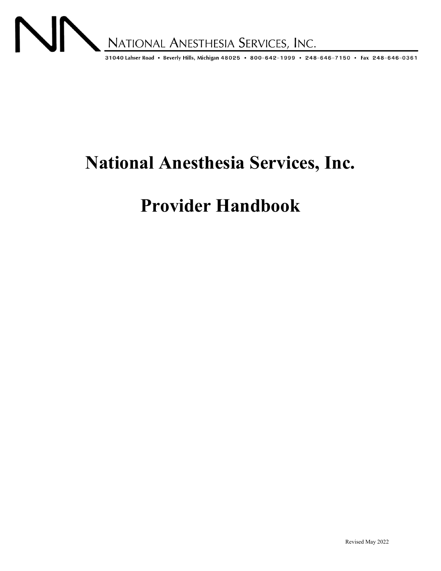

# **National Anesthesia Services, Inc.**

# **Provider Handbook**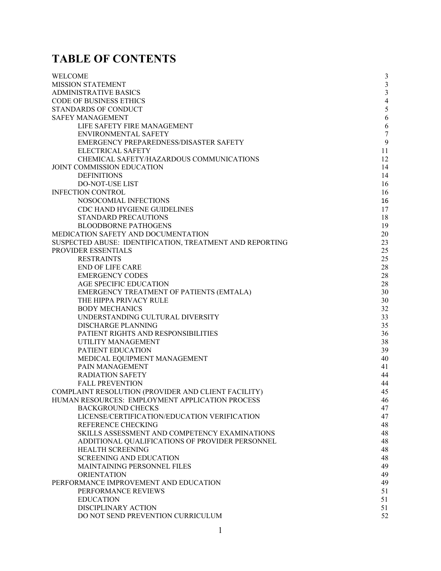# **TABLE OF CONTENTS**

| <b>WELCOME</b>                                           | $\mathfrak{Z}$   |
|----------------------------------------------------------|------------------|
| <b>MISSION STATEMENT</b>                                 | $\mathfrak{Z}$   |
| <b>ADMINISTRATIVE BASICS</b>                             | $\mathfrak{Z}$   |
| <b>CODE OF BUSINESS ETHICS</b>                           | $\overline{4}$   |
| STANDARDS OF CONDUCT                                     | $\mathfrak s$    |
| <b>SAFEY MANAGEMENT</b>                                  | 6                |
| LIFE SAFETY FIRE MANAGEMENT                              | 6                |
| <b>ENVIRONMENTAL SAFETY</b>                              | $\boldsymbol{7}$ |
| EMERGENCY PREPAREDNESS/DISASTER SAFETY                   | 9                |
| ELECTRICAL SAFETY                                        | 11               |
| CHEMICAL SAFETY/HAZARDOUS COMMUNICATIONS                 | 12               |
| JOINT COMMISSION EDUCATION                               | 14               |
| <b>DEFINITIONS</b>                                       | 14               |
| <b>DO-NOT-USE LIST</b>                                   | 16               |
| <b>INFECTION CONTROL</b>                                 | 16               |
| NOSOCOMIAL INFECTIONS                                    | 16               |
| CDC HAND HYGIENE GUIDELINES                              | 17               |
| STANDARD PRECAUTIONS                                     | 18               |
| <b>BLOODBORNE PATHOGENS</b>                              | 19               |
| MEDICATION SAFETY AND DOCUMENTATION                      | 20               |
| SUSPECTED ABUSE: IDENTIFICATION, TREATMENT AND REPORTING | 23               |
| PROVIDER ESSENTIALS                                      | 25               |
| <b>RESTRAINTS</b>                                        | 25               |
| <b>END OF LIFE CARE</b>                                  | 28               |
| <b>EMERGENCY CODES</b>                                   | 28               |
| AGE SPECIFIC EDUCATION                                   | 28               |
| EMERGENCY TREATMENT OF PATIENTS (EMTALA)                 | 30               |
| THE HIPPA PRIVACY RULE                                   | 30               |
| <b>BODY MECHANICS</b>                                    | 32               |
| UNDERSTANDING CULTURAL DIVERSITY                         | 33               |
| <b>DISCHARGE PLANNING</b>                                | 35               |
| PATIENT RIGHTS AND RESPONSIBILITIES                      | 36               |
| UTILITY MANAGEMENT                                       | 38               |
| PATIENT EDUCATION                                        | 39               |
| MEDICAL EQUIPMENT MANAGEMENT                             | 40               |
| PAIN MANAGEMENT                                          | 41               |
| <b>RADIATION SAFETY</b>                                  | 44               |
| <b>FALL PREVENTION</b>                                   | 44               |
| COMPLAINT RESOLUTION (PROVIDER AND CLIENT FACILITY)      | 45               |
| HUMAN RESOURCES: EMPLOYMENT APPLICATION PROCESS          | 46               |
| <b>BACKGROUND CHECKS</b>                                 | 47               |
| LICENSE/CERTIFICATION/EDUCATION VERIFICATION             | 47               |
| REFERENCE CHECKING                                       | 48               |
| SKILLS ASSESSMENT AND COMPETENCY EXAMINATIONS            | 48               |
| ADDITIONAL QUALIFICATIONS OF PROVIDER PERSONNEL          | 48               |
| HEALTH SCREENING                                         | 48               |
| <b>SCREENING AND EDUCATION</b>                           | 48               |
| MAINTAINING PERSONNEL FILES                              | 49               |
| <b>ORIENTATION</b>                                       | 49               |
| PERFORMANCE IMPROVEMENT AND EDUCATION                    | 49               |
| PERFORMANCE REVIEWS                                      | 51               |
| <b>EDUCATION</b>                                         | 51               |
| DISCIPLINARY ACTION                                      | 51               |
| DO NOT SEND PREVENTION CURRICULUM                        | 52               |
|                                                          |                  |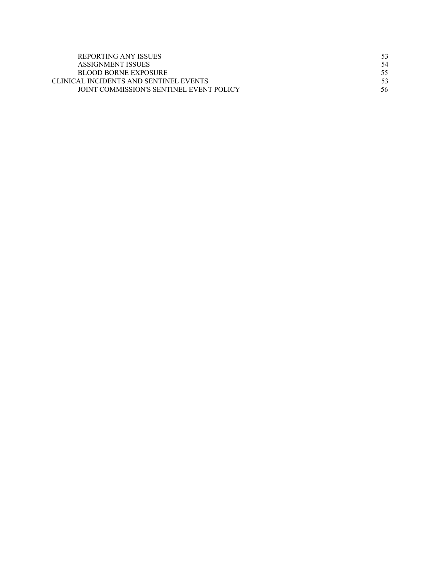| REPORTING ANY ISSUES                     | 53  |
|------------------------------------------|-----|
| ASSIGNMENT ISSUES                        | 54  |
| BLOOD BORNE EXPOSURE                     | 55. |
| CLINICAL INCIDENTS AND SENTINEL EVENTS   |     |
| JOINT COMMISSION'S SENTINEL EVENT POLICY | 56  |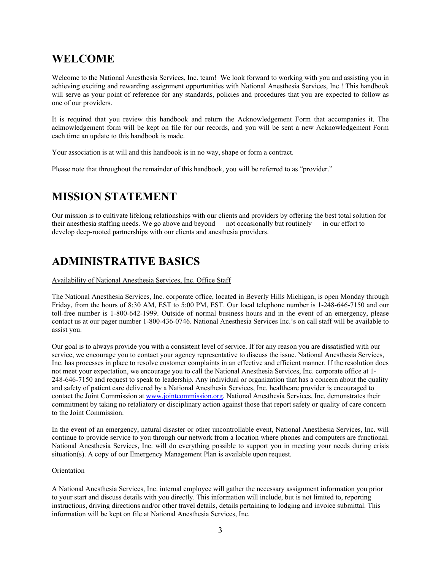# **WELCOME**

Welcome to the National Anesthesia Services, Inc. team! We look forward to working with you and assisting you in achieving exciting and rewarding assignment opportunities with National Anesthesia Services, Inc.! This handbook will serve as your point of reference for any standards, policies and procedures that you are expected to follow as one of our providers.

It is required that you review this handbook and return the Acknowledgement Form that accompanies it. The acknowledgement form will be kept on file for our records, and you will be sent a new Acknowledgement Form each time an update to this handbook is made.

Your association is at will and this handbook is in no way, shape or form a contract.

Please note that throughout the remainder of this handbook, you will be referred to as "provider."

# **MISSION STATEMENT**

Our mission is to cultivate lifelong relationships with our clients and providers by offering the best total solution for their anesthesia staffing needs. We go above and beyond — not occasionally but routinely — in our effort to develop deep-rooted partnerships with our clients and anesthesia providers.

# **ADMINISTRATIVE BASICS**

# Availability of National Anesthesia Services, Inc. Office Staff

The National Anesthesia Services, Inc. corporate office, located in Beverly Hills Michigan, is open Monday through Friday, from the hours of 8:30 AM, EST to 5:00 PM, EST. Our local telephone number is 1-248-646-7150 and our toll-free number is 1-800-642-1999. Outside of normal business hours and in the event of an emergency, please contact us at our pager number 1-800-436-0746. National Anesthesia Services Inc.'s on call staff will be available to assist you.

Our goal is to always provide you with a consistent level of service. If for any reason you are dissatisfied with our service, we encourage you to contact your agency representative to discuss the issue. National Anesthesia Services, Inc. has processes in place to resolve customer complaints in an effective and efficient manner. If the resolution does not meet your expectation, we encourage you to call the National Anesthesia Services, Inc. corporate office at 1- 248-646-7150 and request to speak to leadership. Any individual or organization that has a concern about the quality and safety of patient care delivered by a National Anesthesia Services, Inc. healthcare provider is encouraged to contact the Joint Commission at www.jointcommission.org. National Anesthesia Services, Inc. demonstrates their commitment by taking no retaliatory or disciplinary action against those that report safety or quality of care concern to the Joint Commission.

In the event of an emergency, natural disaster or other uncontrollable event, National Anesthesia Services, Inc. will continue to provide service to you through our network from a location where phones and computers are functional. National Anesthesia Services, Inc. will do everything possible to support you in meeting your needs during crisis situation(s). A copy of our Emergency Management Plan is available upon request.

#### Orientation

A National Anesthesia Services, Inc. internal employee will gather the necessary assignment information you prior to your start and discuss details with you directly. This information will include, but is not limited to, reporting instructions, driving directions and/or other travel details, details pertaining to lodging and invoice submittal. This information will be kept on file at National Anesthesia Services, Inc.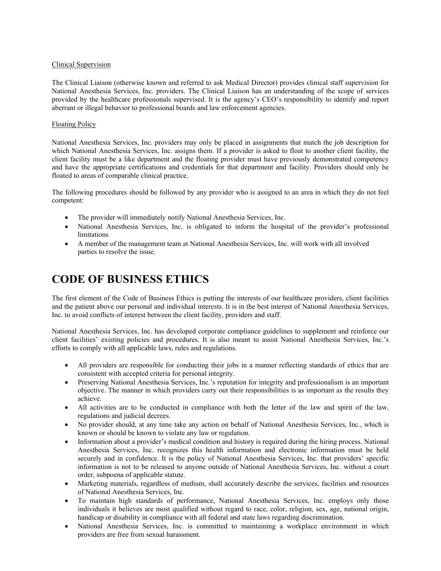### Clinical Supervision

The Clinical Liaison (otherwise known and referred to ask Medical Director) provides clinical staff supervision for National Anesthesia Services, Inc. providers. The Clinical Liaison has an understanding of the scope of services provided by the healthcare professionals supervised. It is the agency's CEO's responsibility to identify and report aberrant or illegal behavior to professional boards and law enforcement agencies.

### Floating Policy

National Anesthesia Services, Inc. providers may only be placed in assignments that match the job description for which National Anesthesia Services, Inc. assigns them. If a provider is asked to float to another client facility, the client facility must be a like department and the floating provider must have previously demonstrated competency and have the appropriate certifications and credentials for that department and facility. Providers should only be floated to areas of comparable clinical practice.

The following procedures should be followed by any provider who is assigned to an area in which they do not feel competent:

- The provider will immediately notify National Anesthesia Services, Inc.
- National Anesthesia Services, Inc. is obligated to inform the hospital of the provider's professional limitations
- A member of the management team at National Anesthesia Services, Inc. will work with all involved parties to resolve the issue.

# **CODE OF BUSINESS ETHICS**

The first element of the Code of Business Ethics is putting the interests of our healthcare providers, client facilities and the patient above our personal and individual interests. It is in the best interest of National Anesthesia Services, Inc. to avoid conflicts of interest between the client facility, providers and staff.

National Anesthesia Services, Inc. has developed corporate compliance guidelines to supplement and reinforce our client facilities' existing policies and procedures. It is also meant to assist National Anesthesia Services, Inc.'s efforts to comply with all applicable laws, rules and regulations.

- All providers are responsible for conducting their jobs in a manner reflecting standards of ethics that are consistent with accepted criteria for personal integrity.
- Preserving National Anesthesia Services, Inc.'s reputation for integrity and professionalism is an important objective. The manner in which providers carry out their responsibilities is as important as the results they achieve.
- All activities are to be conducted in compliance with both the letter of the law and spirit of the law, regulations and judicial decrees.
- No provider should, at any time take any action on behalf of National Anesthesia Services, Inc., which is known or should be known to violate any law or regulation.
- Information about a provider's medical condition and history is required during the hiring process. National Anesthesia Services, Inc. recognizes this health information and electronic information must be held securely and in confidence. It is the policy of National Anesthesia Services, Inc. that providers' specific information is not to be released to anyone outside of National Anesthesia Services, Inc. without a court order, subpoena of applicable statute.
- Marketing materials, regardless of medium, shall accurately describe the services, facilities and resources of National Anesthesia Services, Inc.
- To maintain high standards of performance, National Anesthesia Services, Inc. employs only those individuals it believes are most qualified without regard to race, color, religion, sex, age, national origin, handicap or disability in compliance with all federal and state laws regarding discrimination.
- National Anesthesia Services, Inc. is committed to maintaining a workplace environment in which providers are free from sexual harassment.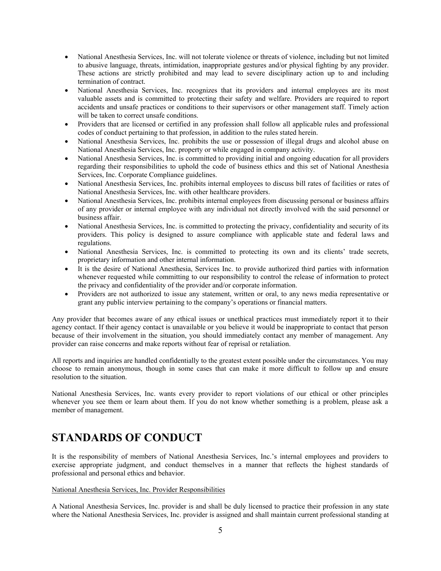- National Anesthesia Services, Inc. will not tolerate violence or threats of violence, including but not limited to abusive language, threats, intimidation, inappropriate gestures and/or physical fighting by any provider. These actions are strictly prohibited and may lead to severe disciplinary action up to and including termination of contract.
- National Anesthesia Services, Inc. recognizes that its providers and internal employees are its most valuable assets and is committed to protecting their safety and welfare. Providers are required to report accidents and unsafe practices or conditions to their supervisors or other management staff. Timely action will be taken to correct unsafe conditions.
- Providers that are licensed or certified in any profession shall follow all applicable rules and professional codes of conduct pertaining to that profession, in addition to the rules stated herein.
- National Anesthesia Services, Inc. prohibits the use or possession of illegal drugs and alcohol abuse on National Anesthesia Services, Inc. property or while engaged in company activity.
- National Anesthesia Services, Inc. is committed to providing initial and ongoing education for all providers regarding their responsibilities to uphold the code of business ethics and this set of National Anesthesia Services, Inc. Corporate Compliance guidelines.
- National Anesthesia Services, Inc. prohibits internal employees to discuss bill rates of facilities or rates of National Anesthesia Services, Inc. with other healthcare providers.
- National Anesthesia Services, Inc. prohibits internal employees from discussing personal or business affairs of any provider or internal employee with any individual not directly involved with the said personnel or business affair.
- National Anesthesia Services, Inc. is committed to protecting the privacy, confidentiality and security of its providers. This policy is designed to assure compliance with applicable state and federal laws and regulations.
- National Anesthesia Services, Inc. is committed to protecting its own and its clients' trade secrets, proprietary information and other internal information.
- It is the desire of National Anesthesia, Services Inc. to provide authorized third parties with information whenever requested while committing to our responsibility to control the release of information to protect the privacy and confidentiality of the provider and/or corporate information.
- Providers are not authorized to issue any statement, written or oral, to any news media representative or grant any public interview pertaining to the company's operations or financial matters.

Any provider that becomes aware of any ethical issues or unethical practices must immediately report it to their agency contact. If their agency contact is unavailable or you believe it would be inappropriate to contact that person because of their involvement in the situation, you should immediately contact any member of management. Any provider can raise concerns and make reports without fear of reprisal or retaliation.

All reports and inquiries are handled confidentially to the greatest extent possible under the circumstances. You may choose to remain anonymous, though in some cases that can make it more difficult to follow up and ensure resolution to the situation.

National Anesthesia Services, Inc. wants every provider to report violations of our ethical or other principles whenever you see them or learn about them. If you do not know whether something is a problem, please ask a member of management.

# **STANDARDS OF CONDUCT**

It is the responsibility of members of National Anesthesia Services, Inc.'s internal employees and providers to exercise appropriate judgment, and conduct themselves in a manner that reflects the highest standards of professional and personal ethics and behavior.

# National Anesthesia Services, Inc. Provider Responsibilities

A National Anesthesia Services, Inc. provider is and shall be duly licensed to practice their profession in any state where the National Anesthesia Services, Inc. provider is assigned and shall maintain current professional standing at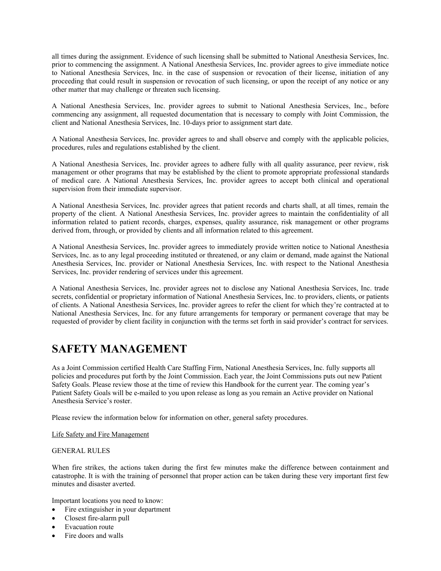all times during the assignment. Evidence of such licensing shall be submitted to National Anesthesia Services, Inc. prior to commencing the assignment. A National Anesthesia Services, Inc. provider agrees to give immediate notice to National Anesthesia Services, Inc. in the case of suspension or revocation of their license, initiation of any proceeding that could result in suspension or revocation of such licensing, or upon the receipt of any notice or any other matter that may challenge or threaten such licensing.

A National Anesthesia Services, Inc. provider agrees to submit to National Anesthesia Services, Inc., before commencing any assignment, all requested documentation that is necessary to comply with Joint Commission, the client and National Anesthesia Services, Inc. 10-days prior to assignment start date.

A National Anesthesia Services, Inc. provider agrees to and shall observe and comply with the applicable policies, procedures, rules and regulations established by the client.

A National Anesthesia Services, Inc. provider agrees to adhere fully with all quality assurance, peer review, risk management or other programs that may be established by the client to promote appropriate professional standards of medical care. A National Anesthesia Services, Inc. provider agrees to accept both clinical and operational supervision from their immediate supervisor.

A National Anesthesia Services, Inc. provider agrees that patient records and charts shall, at all times, remain the property of the client. A National Anesthesia Services, Inc. provider agrees to maintain the confidentiality of all information related to patient records, charges, expenses, quality assurance, risk management or other programs derived from, through, or provided by clients and all information related to this agreement.

A National Anesthesia Services, Inc. provider agrees to immediately provide written notice to National Anesthesia Services, Inc. as to any legal proceeding instituted or threatened, or any claim or demand, made against the National Anesthesia Services, Inc. provider or National Anesthesia Services, Inc. with respect to the National Anesthesia Services, Inc. provider rendering of services under this agreement.

A National Anesthesia Services, Inc. provider agrees not to disclose any National Anesthesia Services, Inc. trade secrets, confidential or proprietary information of National Anesthesia Services, Inc. to providers, clients, or patients of clients. A National Anesthesia Services, Inc. provider agrees to refer the client for which they're contracted at to National Anesthesia Services, Inc. for any future arrangements for temporary or permanent coverage that may be requested of provider by client facility in conjunction with the terms set forth in said provider's contract for services.

# **SAFETY MANAGEMENT**

As a Joint Commission certified Health Care Staffing Firm, National Anesthesia Services, Inc. fully supports all policies and procedures put forth by the Joint Commission. Each year, the Joint Commissions puts out new Patient Safety Goals. Please review those at the time of review this Handbook for the current year. The coming year's Patient Safety Goals will be e-mailed to you upon release as long as you remain an Active provider on National Anesthesia Service's roster.

Please review the information below for information on other, general safety procedures.

# Life Safety and Fire Management

# GENERAL RULES

When fire strikes, the actions taken during the first few minutes make the difference between containment and catastrophe. It is with the training of personnel that proper action can be taken during these very important first few minutes and disaster averted.

Important locations you need to know:

- Fire extinguisher in your department
- Closest fire-alarm pull
- Evacuation route
- Fire doors and walls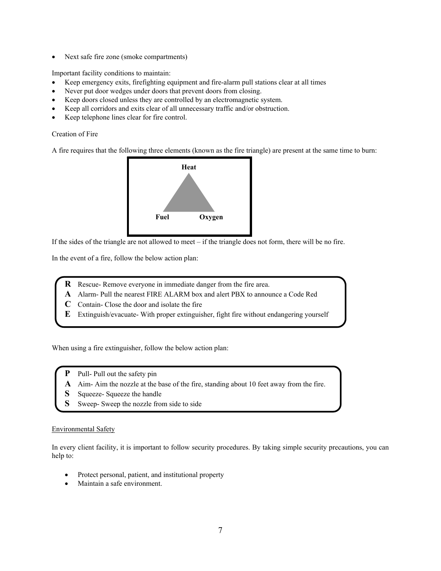• Next safe fire zone (smoke compartments)

Important facility conditions to maintain:

- Keep emergency exits, firefighting equipment and fire-alarm pull stations clear at all times
- Never put door wedges under doors that prevent doors from closing.
- Keep doors closed unless they are controlled by an electromagnetic system.
- Keep all corridors and exits clear of all unnecessary traffic and/or obstruction.
- Keep telephone lines clear for fire control.

Creation of Fire

A fire requires that the following three elements (known as the fire triangle) are present at the same time to burn:



If the sides of the triangle are not allowed to meet – if the triangle does not form, there will be no fire.

In the event of a fire, follow the below action plan:

- **R** Rescue- Remove everyone in immediate danger from the fire area.
- **A** Alarm- Pull the nearest FIRE ALARM box and alert PBX to announce a Code Red
- **C** Contain- Close the door and isolate the fire
- **E** Extinguish/evacuate- With proper extinguisher, fight fire without endangering yourself

When using a fire extinguisher, follow the below action plan:

- Pull- Pull out the safety pin
- **A** Aim- Aim the nozzle at the base of the fire, standing about 10 feet away from the fire.
- **S** Squeeze- Squeeze the handle
- **S** Sweep- Sweep the nozzle from side to side

# Environmental Safety

In every client facility, it is important to follow security procedures. By taking simple security precautions, you can help to:

- Protect personal, patient, and institutional property
- Maintain a safe environment.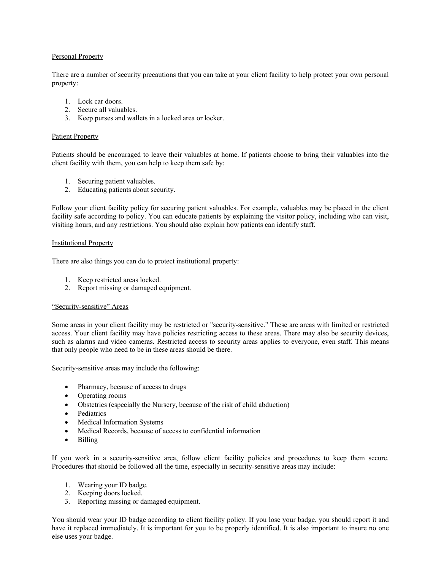### Personal Property

There are a number of security precautions that you can take at your client facility to help protect your own personal property:

- 1. Lock car doors.
- 2. Secure all valuables.
- 3. Keep purses and wallets in a locked area or locker.

#### Patient Property

Patients should be encouraged to leave their valuables at home. If patients choose to bring their valuables into the client facility with them, you can help to keep them safe by:

- 1. Securing patient valuables.
- 2. Educating patients about security.

Follow your client facility policy for securing patient valuables. For example, valuables may be placed in the client facility safe according to policy. You can educate patients by explaining the visitor policy, including who can visit, visiting hours, and any restrictions. You should also explain how patients can identify staff.

#### Institutional Property

There are also things you can do to protect institutional property:

- 1. Keep restricted areas locked.
- 2. Report missing or damaged equipment.

#### "Security-sensitive" Areas

Some areas in your client facility may be restricted or "security-sensitive." These are areas with limited or restricted access. Your client facility may have policies restricting access to these areas. There may also be security devices, such as alarms and video cameras. Restricted access to security areas applies to everyone, even staff. This means that only people who need to be in these areas should be there.

Security-sensitive areas may include the following:

- Pharmacy, because of access to drugs
- Operating rooms
- Obstetrics (especially the Nursery, because of the risk of child abduction)
- Pediatrics
- Medical Information Systems
- Medical Records, because of access to confidential information
- Billing

If you work in a security-sensitive area, follow client facility policies and procedures to keep them secure. Procedures that should be followed all the time, especially in security-sensitive areas may include:

- 1. Wearing your ID badge.
- 2. Keeping doors locked.
- 3. Reporting missing or damaged equipment.

You should wear your ID badge according to client facility policy. If you lose your badge, you should report it and have it replaced immediately. It is important for you to be properly identified. It is also important to insure no one else uses your badge.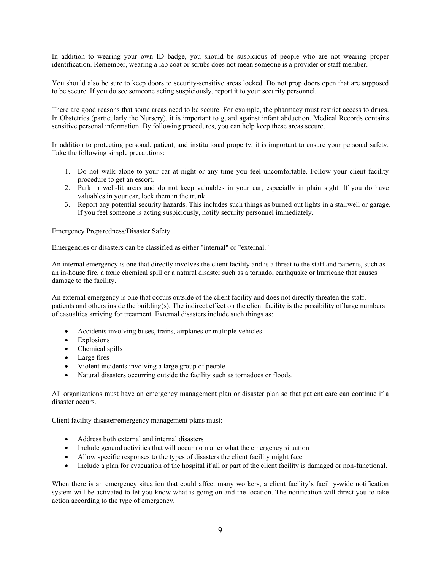In addition to wearing your own ID badge, you should be suspicious of people who are not wearing proper identification. Remember, wearing a lab coat or scrubs does not mean someone is a provider or staff member.

You should also be sure to keep doors to security-sensitive areas locked. Do not prop doors open that are supposed to be secure. If you do see someone acting suspiciously, report it to your security personnel.

There are good reasons that some areas need to be secure. For example, the pharmacy must restrict access to drugs. In Obstetrics (particularly the Nursery), it is important to guard against infant abduction. Medical Records contains sensitive personal information. By following procedures, you can help keep these areas secure.

In addition to protecting personal, patient, and institutional property, it is important to ensure your personal safety. Take the following simple precautions:

- 1. Do not walk alone to your car at night or any time you feel uncomfortable. Follow your client facility procedure to get an escort.
- 2. Park in well-lit areas and do not keep valuables in your car, especially in plain sight. If you do have valuables in your car, lock them in the trunk.
- 3. Report any potential security hazards. This includes such things as burned out lights in a stairwell or garage. If you feel someone is acting suspiciously, notify security personnel immediately.

#### Emergency Preparedness/Disaster Safety

Emergencies or disasters can be classified as either "internal" or "external."

An internal emergency is one that directly involves the client facility and is a threat to the staff and patients, such as an in-house fire, a toxic chemical spill or a natural disaster such as a tornado, earthquake or hurricane that causes damage to the facility.

An external emergency is one that occurs outside of the client facility and does not directly threaten the staff, patients and others inside the building(s). The indirect effect on the client facility is the possibility of large numbers of casualties arriving for treatment. External disasters include such things as:

- Accidents involving buses, trains, airplanes or multiple vehicles
- Explosions
- Chemical spills
- Large fires
- Violent incidents involving a large group of people
- Natural disasters occurring outside the facility such as tornadoes or floods.

All organizations must have an emergency management plan or disaster plan so that patient care can continue if a disaster occurs.

Client facility disaster/emergency management plans must:

- Address both external and internal disasters
- Include general activities that will occur no matter what the emergency situation
- Allow specific responses to the types of disasters the client facility might face
- Include a plan for evacuation of the hospital if all or part of the client facility is damaged or non-functional.

When there is an emergency situation that could affect many workers, a client facility's facility-wide notification system will be activated to let you know what is going on and the location. The notification will direct you to take action according to the type of emergency.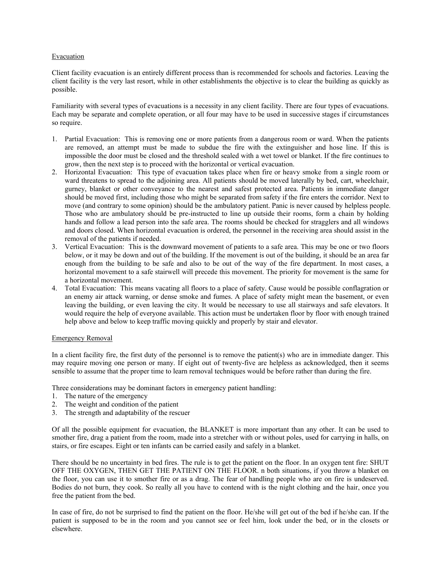#### Evacuation

Client facility evacuation is an entirely different process than is recommended for schools and factories. Leaving the client facility is the very last resort, while in other establishments the objective is to clear the building as quickly as possible.

Familiarity with several types of evacuations is a necessity in any client facility. There are four types of evacuations. Each may be separate and complete operation, or all four may have to be used in successive stages if circumstances so require.

- 1. Partial Evacuation: This is removing one or more patients from a dangerous room or ward. When the patients are removed, an attempt must be made to subdue the fire with the extinguisher and hose line. If this is impossible the door must be closed and the threshold sealed with a wet towel or blanket. If the fire continues to grow, then the next step is to proceed with the horizontal or vertical evacuation.
- 2. Horizontal Evacuation: This type of evacuation takes place when fire or heavy smoke from a single room or ward threatens to spread to the adjoining area. All patients should be moved laterally by bed, cart, wheelchair, gurney, blanket or other conveyance to the nearest and safest protected area. Patients in immediate danger should be moved first, including those who might be separated from safety if the fire enters the corridor. Next to move (and contrary to some opinion) should be the ambulatory patient. Panic is never caused by helpless people. Those who are ambulatory should be pre-instructed to line up outside their rooms, form a chain by holding hands and follow a lead person into the safe area. The rooms should be checked for stragglers and all windows and doors closed. When horizontal evacuation is ordered, the personnel in the receiving area should assist in the removal of the patients if needed.
- 3. Vertical Evacuation: This is the downward movement of patients to a safe area. This may be one or two floors below, or it may be down and out of the building. If the movement is out of the building, it should be an area far enough from the building to be safe and also to be out of the way of the fire department. In most cases, a horizontal movement to a safe stairwell will precede this movement. The priority for movement is the same for a horizontal movement.
- 4. Total Evacuation: This means vacating all floors to a place of safety. Cause would be possible conflagration or an enemy air attack warning, or dense smoke and fumes. A place of safety might mean the basement, or even leaving the building, or even leaving the city. It would be necessary to use all stairways and safe elevators. It would require the help of everyone available. This action must be undertaken floor by floor with enough trained help above and below to keep traffic moving quickly and properly by stair and elevator.

# Emergency Removal

In a client facility fire, the first duty of the personnel is to remove the patient(s) who are in immediate danger. This may require moving one person or many. If eight out of twenty-five are helpless as acknowledged, then it seems sensible to assume that the proper time to learn removal techniques would be before rather than during the fire.

Three considerations may be dominant factors in emergency patient handling:

- 1. The nature of the emergency
- 2. The weight and condition of the patient
- 3. The strength and adaptability of the rescuer

Of all the possible equipment for evacuation, the BLANKET is more important than any other. It can be used to smother fire, drag a patient from the room, made into a stretcher with or without poles, used for carrying in halls, on stairs, or fire escapes. Eight or ten infants can be carried easily and safely in a blanket.

There should be no uncertainty in bed fires. The rule is to get the patient on the floor. In an oxygen tent fire: SHUT OFF THE OXYGEN, THEN GET THE PATIENT ON THE FLOOR. n both situations, if you throw a blanket on the floor, you can use it to smother fire or as a drag. The fear of handling people who are on fire is undeserved. Bodies do not burn, they cook. So really all you have to contend with is the night clothing and the hair, once you free the patient from the bed.

In case of fire, do not be surprised to find the patient on the floor. He/she will get out of the bed if he/she can. If the patient is supposed to be in the room and you cannot see or feel him, look under the bed, or in the closets or elsewhere.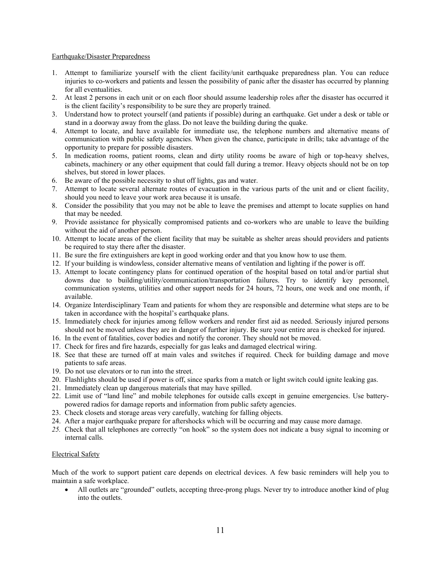#### Earthquake/Disaster Preparedness

- 1. Attempt to familiarize yourself with the client facility/unit earthquake preparedness plan. You can reduce injuries to co-workers and patients and lessen the possibility of panic after the disaster has occurred by planning for all eventualities.
- 2. At least 2 persons in each unit or on each floor should assume leadership roles after the disaster has occurred it is the client facility's responsibility to be sure they are properly trained.
- 3. Understand how to protect yourself (and patients if possible) during an earthquake. Get under a desk or table or stand in a doorway away from the glass. Do not leave the building during the quake.
- 4. Attempt to locate, and have available for immediate use, the telephone numbers and alternative means of communication with public safety agencies. When given the chance, participate in drills; take advantage of the opportunity to prepare for possible disasters.
- 5. In medication rooms, patient rooms, clean and dirty utility rooms be aware of high or top-heavy shelves, cabinets, machinery or any other equipment that could fall during a tremor. Heavy objects should not be on top shelves, but stored in lower places.
- 6. Be aware of the possible necessity to shut off lights, gas and water.
- 7. Attempt to locate several alternate routes of evacuation in the various parts of the unit and or client facility, should you need to leave your work area because it is unsafe.
- 8. Consider the possibility that you may not be able to leave the premises and attempt to locate supplies on hand that may be needed.
- 9. Provide assistance for physically compromised patients and co-workers who are unable to leave the building without the aid of another person.
- 10. Attempt to locate areas of the client facility that may be suitable as shelter areas should providers and patients be required to stay there after the disaster.
- 11. Be sure the fire extinguishers are kept in good working order and that you know how to use them.
- 12. If your building is windowless, consider alternative means of ventilation and lighting if the power is off.
- 13. Attempt to locate contingency plans for continued operation of the hospital based on total and/or partial shut downs due to building/utility/communication/transportation failures. Try to identify key personnel, communication systems, utilities and other support needs for 24 hours, 72 hours, one week and one month, if available.
- 14. Organize Interdisciplinary Team and patients for whom they are responsible and determine what steps are to be taken in accordance with the hospital's earthquake plans.
- 15. Immediately check for injuries among fellow workers and render first aid as needed. Seriously injured persons should not be moved unless they are in danger of further injury. Be sure your entire area is checked for injured.
- 16. In the event of fatalities, cover bodies and notify the coroner. They should not be moved.
- 17. Check for fires and fire hazards, especially for gas leaks and damaged electrical wiring.
- 18. See that these are turned off at main vales and switches if required. Check for building damage and move patients to safe areas.
- 19. Do not use elevators or to run into the street.
- 20. Flashlights should be used if power is off, since sparks from a match or light switch could ignite leaking gas.
- 21. Immediately clean up dangerous materials that may have spilled.
- 22. Limit use of "land line" and mobile telephones for outside calls except in genuine emergencies. Use batterypowered radios for damage reports and information from public safety agencies.
- 23. Check closets and storage areas very carefully, watching for falling objects.
- 24. After a major earthquake prepare for aftershocks which will be occurring and may cause more damage.
- *25.* Check that all telephones are correctly "on hook" so the system does not indicate a busy signal to incoming or internal calls.

#### Electrical Safety

Much of the work to support patient care depends on electrical devices. A few basic reminders will help you to maintain a safe workplace.

 All outlets are "grounded" outlets, accepting three-prong plugs. Never try to introduce another kind of plug into the outlets.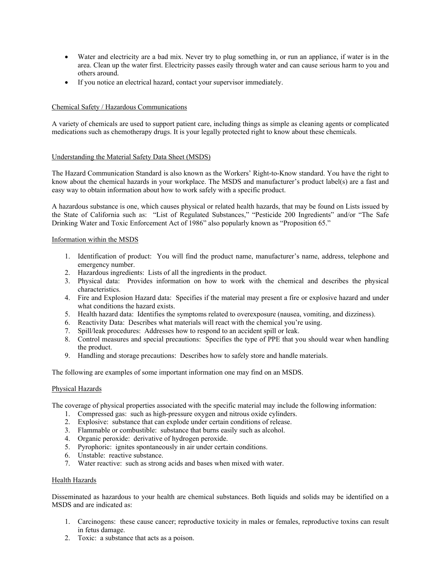- Water and electricity are a bad mix. Never try to plug something in, or run an appliance, if water is in the area. Clean up the water first. Electricity passes easily through water and can cause serious harm to you and others around.
- If you notice an electrical hazard, contact your supervisor immediately.

# Chemical Safety / Hazardous Communications

A variety of chemicals are used to support patient care, including things as simple as cleaning agents or complicated medications such as chemotherapy drugs. It is your legally protected right to know about these chemicals.

# Understanding the Material Safety Data Sheet (MSDS)

The Hazard Communication Standard is also known as the Workers' Right-to-Know standard. You have the right to know about the chemical hazards in your workplace. The MSDS and manufacturer's product label(s) are a fast and easy way to obtain information about how to work safely with a specific product.

A hazardous substance is one, which causes physical or related health hazards, that may be found on Lists issued by the State of California such as: "List of Regulated Substances," "Pesticide 200 Ingredients" and/or "The Safe Drinking Water and Toxic Enforcement Act of 1986" also popularly known as "Proposition 65."

#### Information within the MSDS

- 1. Identification of product: You will find the product name, manufacturer's name, address, telephone and emergency number.
- 2. Hazardous ingredients: Lists of all the ingredients in the product.
- 3. Physical data: Provides information on how to work with the chemical and describes the physical characteristics.
- 4. Fire and Explosion Hazard data: Specifies if the material may present a fire or explosive hazard and under what conditions the hazard exists.
- 5. Health hazard data: Identifies the symptoms related to overexposure (nausea, vomiting, and dizziness).
- 6. Reactivity Data: Describes what materials will react with the chemical you're using.
- 7. Spill/leak procedures: Addresses how to respond to an accident spill or leak.
- 8. Control measures and special precautions: Specifies the type of PPE that you should wear when handling the product.
- 9. Handling and storage precautions: Describes how to safely store and handle materials.

The following are examples of some important information one may find on an MSDS.

#### Physical Hazards

The coverage of physical properties associated with the specific material may include the following information:

- 1. Compressed gas: such as high-pressure oxygen and nitrous oxide cylinders.
- 2. Explosive: substance that can explode under certain conditions of release.
- 3. Flammable or combustible: substance that burns easily such as alcohol.
- 4. Organic peroxide: derivative of hydrogen peroxide.
- 5. Pyrophoric: ignites spontaneously in air under certain conditions.
- 6. Unstable: reactive substance.
- 7. Water reactive: such as strong acids and bases when mixed with water.

#### Health Hazards

Disseminated as hazardous to your health are chemical substances. Both liquids and solids may be identified on a MSDS and are indicated as:

- 1. Carcinogens: these cause cancer; reproductive toxicity in males or females, reproductive toxins can result in fetus damage.
- 2. Toxic: a substance that acts as a poison.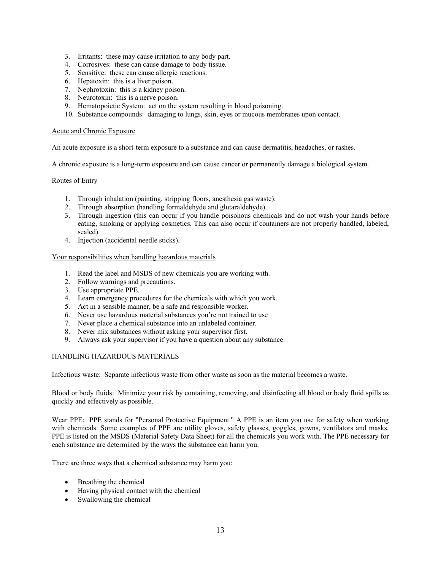- 3. Irritants: these may cause irritation to any body part.
- 4. Corrosives: these can cause damage to body tissue.
- 5. Sensitive: these can cause allergic reactions.
- 6. Hepatoxin: this is a liver poison.
- 7. Nephrotoxin: this is a kidney poison.
- 8. Neurotoxin: this is a nerve poison.
- 9. Hematopoietic System: act on the system resulting in blood poisoning.
- 10. Substance compounds: damaging to lungs, skin, eyes or mucous membranes upon contact.

#### Acute and Chronic Exposure

An acute exposure is a short-term exposure to a substance and can cause dermatitis, headaches, or rashes.

A chronic exposure is a long-term exposure and can cause cancer or permanently damage a biological system.

#### Routes of Entry

- 1. Through inhalation (painting, stripping floors, anesthesia gas waste).
- 2. Through absorption (handling formaldehyde and glutaraldehyde).
- 3. Through ingestion (this can occur if you handle poisonous chemicals and do not wash your hands before eating, smoking or applying cosmetics. This can also occur if containers are not properly handled, labeled, sealed).
- 4. Injection (accidental needle sticks).

#### Your responsibilities when handling hazardous materials

- 1. Read the label and MSDS of new chemicals you are working with.
- 2. Follow warnings and precautions.
- 3. Use appropriate PPE.
- 4. Learn emergency procedures for the chemicals with which you work.
- 5. Act in a sensible manner, be a safe and responsible worker.
- 6. Never use hazardous material substances you're not trained to use
- 7. Never place a chemical substance into an unlabeled container.
- 8. Never mix substances without asking your supervisor first.
- 9. Always ask your supervisor if you have a question about any substance.

#### HANDLING HAZARDOUS MATERIALS

Infectious waste: Separate infectious waste from other waste as soon as the material becomes a waste.

Blood or body fluids: Minimize your risk by containing, removing, and disinfecting all blood or body fluid spills as quickly and effectively as possible.

Wear PPE: PPE stands for "Personal Protective Equipment." A PPE is an item you use for safety when working with chemicals. Some examples of PPE are utility gloves, safety glasses, goggles, gowns, ventilators and masks. PPE is listed on the MSDS (Material Safety Data Sheet) for all the chemicals you work with. The PPE necessary for each substance are determined by the ways the substance can harm you.

There are three ways that a chemical substance may harm you:

- Breathing the chemical
- Having physical contact with the chemical
- Swallowing the chemical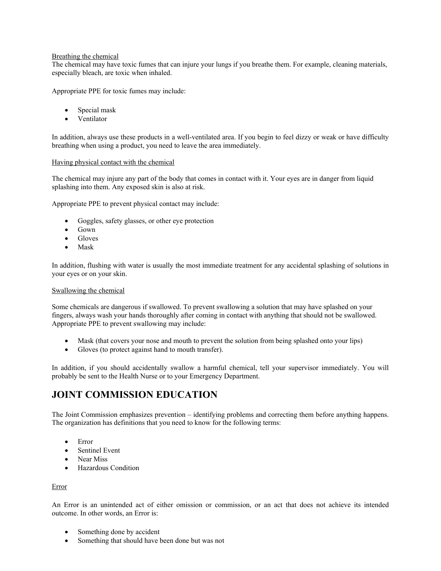### Breathing the chemical

The chemical may have toxic fumes that can injure your lungs if you breathe them. For example, cleaning materials, especially bleach, are toxic when inhaled.

Appropriate PPE for toxic fumes may include:

- Special mask
- Ventilator

In addition, always use these products in a well-ventilated area. If you begin to feel dizzy or weak or have difficulty breathing when using a product, you need to leave the area immediately.

#### Having physical contact with the chemical

The chemical may injure any part of the body that comes in contact with it. Your eyes are in danger from liquid splashing into them. Any exposed skin is also at risk.

Appropriate PPE to prevent physical contact may include:

- Goggles, safety glasses, or other eye protection
- Gown
- Gloves
- Mask

In addition, flushing with water is usually the most immediate treatment for any accidental splashing of solutions in your eyes or on your skin.

#### Swallowing the chemical

Some chemicals are dangerous if swallowed. To prevent swallowing a solution that may have splashed on your fingers, always wash your hands thoroughly after coming in contact with anything that should not be swallowed. Appropriate PPE to prevent swallowing may include:

- Mask (that covers your nose and mouth to prevent the solution from being splashed onto your lips)
- Gloves (to protect against hand to mouth transfer).

In addition, if you should accidentally swallow a harmful chemical, tell your supervisor immediately. You will probably be sent to the Health Nurse or to your Emergency Department.

# **JOINT COMMISSION EDUCATION**

The Joint Commission emphasizes prevention – identifying problems and correcting them before anything happens. The organization has definitions that you need to know for the following terms:

- Error
- Sentinel Event
- Near Miss
- Hazardous Condition

#### Error

An Error is an unintended act of either omission or commission, or an act that does not achieve its intended outcome. In other words, an Error is:

- Something done by accident
- Something that should have been done but was not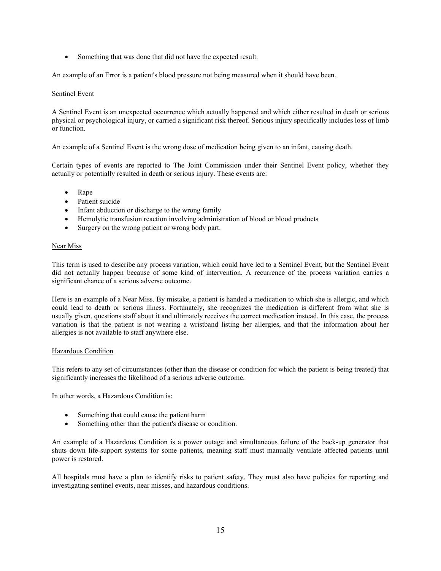• Something that was done that did not have the expected result.

An example of an Error is a patient's blood pressure not being measured when it should have been.

#### Sentinel Event

A Sentinel Event is an unexpected occurrence which actually happened and which either resulted in death or serious physical or psychological injury, or carried a significant risk thereof. Serious injury specifically includes loss of limb or function.

An example of a Sentinel Event is the wrong dose of medication being given to an infant, causing death.

Certain types of events are reported to The Joint Commission under their Sentinel Event policy, whether they actually or potentially resulted in death or serious injury. These events are:

- Rape
- Patient suicide
- Infant abduction or discharge to the wrong family
- Hemolytic transfusion reaction involving administration of blood or blood products
- Surgery on the wrong patient or wrong body part.

#### Near Miss

This term is used to describe any process variation, which could have led to a Sentinel Event, but the Sentinel Event did not actually happen because of some kind of intervention. A recurrence of the process variation carries a significant chance of a serious adverse outcome.

Here is an example of a Near Miss. By mistake, a patient is handed a medication to which she is allergic, and which could lead to death or serious illness. Fortunately, she recognizes the medication is different from what she is usually given, questions staff about it and ultimately receives the correct medication instead. In this case, the process variation is that the patient is not wearing a wristband listing her allergies, and that the information about her allergies is not available to staff anywhere else.

#### Hazardous Condition

This refers to any set of circumstances (other than the disease or condition for which the patient is being treated) that significantly increases the likelihood of a serious adverse outcome.

In other words, a Hazardous Condition is:

- Something that could cause the patient harm
- Something other than the patient's disease or condition.

An example of a Hazardous Condition is a power outage and simultaneous failure of the back-up generator that shuts down life-support systems for some patients, meaning staff must manually ventilate affected patients until power is restored.

All hospitals must have a plan to identify risks to patient safety. They must also have policies for reporting and investigating sentinel events, near misses, and hazardous conditions.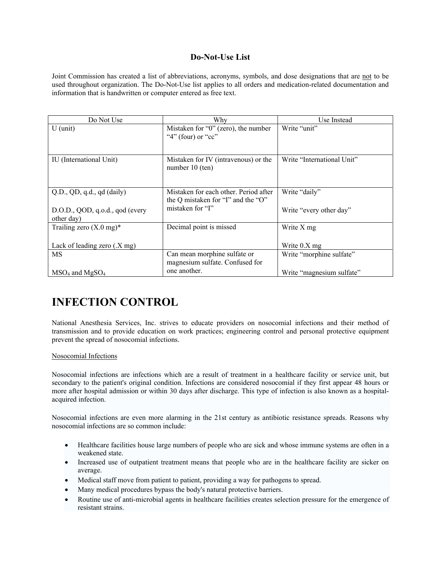# **Do-Not-Use List**

Joint Commission has created a list of abbreviations, acronyms, symbols, and dose designations that are not to be used throughout organization. The Do-Not-Use list applies to all orders and medication-related documentation and information that is handwritten or computer entered as free text.

| Do Not Use                                    | Why                                                                         | Use Instead                |
|-----------------------------------------------|-----------------------------------------------------------------------------|----------------------------|
| $U$ (unit)                                    | Mistaken for " $0$ " (zero), the number<br>" $4$ " (four) or "cc"           | Write "unit"               |
| IU (International Unit)                       | Mistaken for IV (intravenous) or the<br>number 10 (ten)                     | Write "International Unit" |
| Q.D., QD, q.d., qd (daily)                    | Mistaken for each other. Period after<br>the Q mistaken for "I" and the "O" | Write "daily"              |
| D.O.D., QOD, q.o.d., qod (every<br>other day) | mistaken for "I"                                                            | Write "every other day"    |
| Trailing zero $(X.0 \text{ mg})^*$            | Decimal point is missed                                                     | Write X mg                 |
| Lack of leading zero $(X \text{ mg})$         |                                                                             | Write $0.X$ mg             |
| MS                                            | Can mean morphine sulfate or<br>magnesium sulfate. Confused for             | Write "morphine sulfate"   |
| $MSO4$ and $MgSO4$                            | one another.                                                                | Write "magnesium sulfate"  |

# **INFECTION CONTROL**

National Anesthesia Services, Inc. strives to educate providers on nosocomial infections and their method of transmission and to provide education on work practices; engineering control and personal protective equipment prevent the spread of nosocomial infections.

# Nosocomial Infections

Nosocomial infections are infections which are a result of treatment in a healthcare facility or service unit, but secondary to the patient's original condition. Infections are considered nosocomial if they first appear 48 hours or more after hospital admission or within 30 days after discharge. This type of infection is also known as a hospitalacquired infection.

Nosocomial infections are even more alarming in the 21st century as antibiotic resistance spreads. Reasons why nosocomial infections are so common include:

- Healthcare facilities house large numbers of people who are sick and whose immune systems are often in a weakened state.
- Increased use of outpatient treatment means that people who are in the healthcare facility are sicker on average.
- Medical staff move from patient to patient, providing a way for pathogens to spread.
- Many medical procedures bypass the body's natural protective barriers.
- Routine use of anti-microbial agents in healthcare facilities creates selection pressure for the emergence of resistant strains.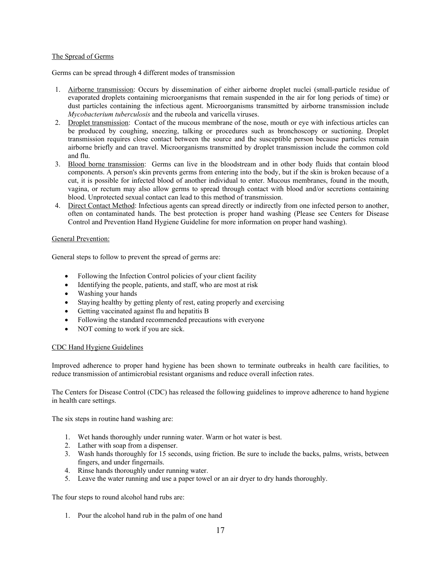### The Spread of Germs

Germs can be spread through 4 different modes of transmission

- 1. Airborne transmission: Occurs by dissemination of either airborne droplet nuclei (small-particle residue of evaporated droplets containing microorganisms that remain suspended in the air for long periods of time) or dust particles containing the infectious agent. Microorganisms transmitted by airborne transmission include *Mycobacterium tuberculosis* and the rubeola and varicella viruses.
- 2. Droplet transmission: Contact of the mucous membrane of the nose, mouth or eye with infectious articles can be produced by coughing, sneezing, talking or procedures such as bronchoscopy or suctioning. Droplet transmission requires close contact between the source and the susceptible person because particles remain airborne briefly and can travel. Microorganisms transmitted by droplet transmission include the common cold and flu.
- 3. Blood borne transmission: Germs can live in the bloodstream and in other body fluids that contain blood components. A person's skin prevents germs from entering into the body, but if the skin is broken because of a cut, it is possible for infected blood of another individual to enter. Mucous membranes, found in the mouth, vagina, or rectum may also allow germs to spread through contact with blood and/or secretions containing blood. Unprotected sexual contact can lead to this method of transmission.
- 4. Direct Contact Method: Infectious agents can spread directly or indirectly from one infected person to another, often on contaminated hands. The best protection is proper hand washing (Please see Centers for Disease Control and Prevention Hand Hygiene Guideline for more information on proper hand washing).

#### General Prevention:

General steps to follow to prevent the spread of germs are:

- Following the Infection Control policies of your client facility
- Identifying the people, patients, and staff, who are most at risk
- Washing your hands
- Staying healthy by getting plenty of rest, eating properly and exercising
- Getting vaccinated against flu and hepatitis B
- Following the standard recommended precautions with everyone
- NOT coming to work if you are sick.

# CDC Hand Hygiene Guidelines

Improved adherence to proper hand hygiene has been shown to terminate outbreaks in health care facilities, to reduce transmission of antimicrobial resistant organisms and reduce overall infection rates.

The Centers for Disease Control (CDC) has released the following guidelines to improve adherence to hand hygiene in health care settings.

The six steps in routine hand washing are:

- 1. Wet hands thoroughly under running water. Warm or hot water is best.
- 2. Lather with soap from a dispenser.
- 3. Wash hands thoroughly for 15 seconds, using friction. Be sure to include the backs, palms, wrists, between fingers, and under fingernails.
- 4. Rinse hands thoroughly under running water.
- 5. Leave the water running and use a paper towel or an air dryer to dry hands thoroughly.

The four steps to round alcohol hand rubs are:

1. Pour the alcohol hand rub in the palm of one hand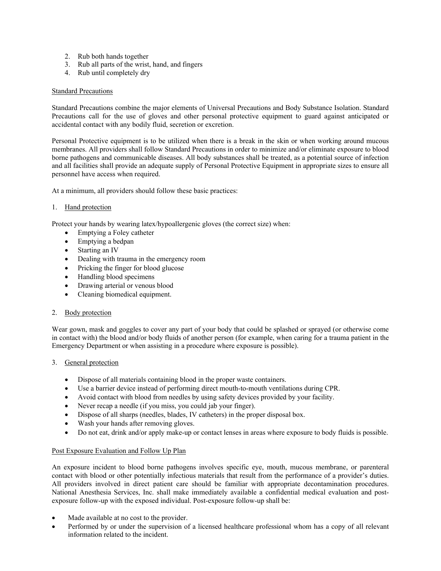- 2. Rub both hands together
- 3. Rub all parts of the wrist, hand, and fingers
- 4. Rub until completely dry

# Standard Precautions

Standard Precautions combine the major elements of Universal Precautions and Body Substance Isolation. Standard Precautions call for the use of gloves and other personal protective equipment to guard against anticipated or accidental contact with any bodily fluid, secretion or excretion.

Personal Protective equipment is to be utilized when there is a break in the skin or when working around mucous membranes. All providers shall follow Standard Precautions in order to minimize and/or eliminate exposure to blood borne pathogens and communicable diseases. All body substances shall be treated, as a potential source of infection and all facilities shall provide an adequate supply of Personal Protective Equipment in appropriate sizes to ensure all personnel have access when required.

At a minimum, all providers should follow these basic practices:

# 1. Hand protection

Protect your hands by wearing latex/hypoallergenic gloves (the correct size) when:

- Emptying a Foley catheter
- Emptying a bedpan
- Starting an IV
- Dealing with trauma in the emergency room
- Pricking the finger for blood glucose
- Handling blood specimens
- Drawing arterial or venous blood
- Cleaning biomedical equipment.

#### 2. Body protection

Wear gown, mask and goggles to cover any part of your body that could be splashed or sprayed (or otherwise come in contact with) the blood and/or body fluids of another person (for example, when caring for a trauma patient in the Emergency Department or when assisting in a procedure where exposure is possible).

#### 3. General protection

- Dispose of all materials containing blood in the proper waste containers.
- Use a barrier device instead of performing direct mouth-to-mouth ventilations during CPR.
- Avoid contact with blood from needles by using safety devices provided by your facility.
- Never recap a needle (if you miss, you could jab your finger).
- Dispose of all sharps (needles, blades, IV catheters) in the proper disposal box.
- Wash your hands after removing gloves.
- Do not eat, drink and/or apply make-up or contact lenses in areas where exposure to body fluids is possible.

#### Post Exposure Evaluation and Follow Up Plan

An exposure incident to blood borne pathogens involves specific eye, mouth, mucous membrane, or parenteral contact with blood or other potentially infectious materials that result from the performance of a provider's duties. All providers involved in direct patient care should be familiar with appropriate decontamination procedures. National Anesthesia Services, Inc. shall make immediately available a confidential medical evaluation and postexposure follow-up with the exposed individual. Post-exposure follow-up shall be:

- Made available at no cost to the provider.
- Performed by or under the supervision of a licensed healthcare professional whom has a copy of all relevant information related to the incident.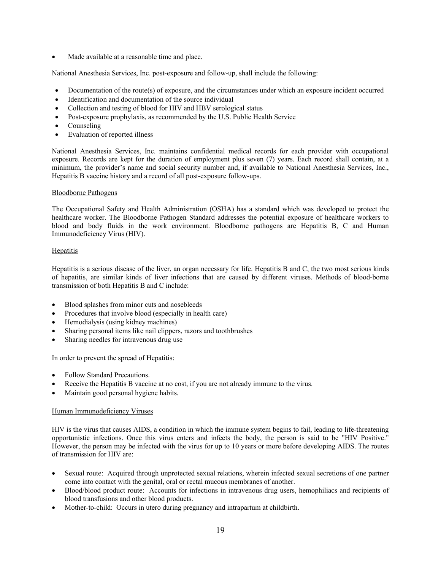• Made available at a reasonable time and place.

National Anesthesia Services, Inc. post-exposure and follow-up, shall include the following:

- Documentation of the route(s) of exposure, and the circumstances under which an exposure incident occurred
- Identification and documentation of the source individual
- Collection and testing of blood for HIV and HBV serological status
- Post-exposure prophylaxis, as recommended by the U.S. Public Health Service
- Counseling
- Evaluation of reported illness

National Anesthesia Services, Inc. maintains confidential medical records for each provider with occupational exposure. Records are kept for the duration of employment plus seven (7) years. Each record shall contain, at a minimum, the provider's name and social security number and, if available to National Anesthesia Services, Inc., Hepatitis B vaccine history and a record of all post-exposure follow-ups.

#### Bloodborne Pathogens

The Occupational Safety and Health Administration (OSHA) has a standard which was developed to protect the healthcare worker. The Bloodborne Pathogen Standard addresses the potential exposure of healthcare workers to blood and body fluids in the work environment. Bloodborne pathogens are Hepatitis B, C and Human Immunodeficiency Virus (HIV).

# **Hepatitis**

Hepatitis is a serious disease of the liver, an organ necessary for life. Hepatitis B and C, the two most serious kinds of hepatitis, are similar kinds of liver infections that are caused by different viruses. Methods of blood-borne transmission of both Hepatitis B and C include:

- Blood splashes from minor cuts and nosebleeds
- Procedures that involve blood (especially in health care)
- Hemodialysis (using kidney machines)
- Sharing personal items like nail clippers, razors and toothbrushes
- Sharing needles for intravenous drug use

In order to prevent the spread of Hepatitis:

- Follow Standard Precautions.
- Receive the Hepatitis B vaccine at no cost, if you are not already immune to the virus.
- Maintain good personal hygiene habits.

# Human Immunodeficiency Viruses

HIV is the virus that causes AIDS, a condition in which the immune system begins to fail, leading to life-threatening opportunistic infections. Once this virus enters and infects the body, the person is said to be "HIV Positive." However, the person may be infected with the virus for up to 10 years or more before developing AIDS. The routes of transmission for HIV are:

- Sexual route: Acquired through unprotected sexual relations, wherein infected sexual secretions of one partner come into contact with the genital, oral or rectal mucous membranes of another.
- Blood/blood product route: Accounts for infections in intravenous drug users, hemophiliacs and recipients of blood transfusions and other blood products.
- Mother-to-child: Occurs in utero during pregnancy and intrapartum at childbirth.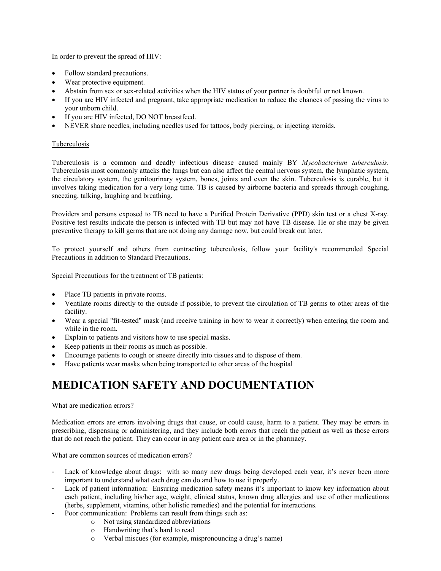In order to prevent the spread of HIV:

- Follow standard precautions.
- Wear protective equipment.
- Abstain from sex or sex-related activities when the HIV status of your partner is doubtful or not known.
- If you are HIV infected and pregnant, take appropriate medication to reduce the chances of passing the virus to your unborn child.
- If you are HIV infected, DO NOT breastfeed.
- NEVER share needles, including needles used for tattoos, body piercing, or injecting steroids.

# Tuberculosis

Tuberculosis is a common and deadly infectious disease caused mainly BY *Mycobacterium tuberculosis*. Tuberculosis most commonly attacks the lungs but can also affect the central nervous system, the lymphatic system, the circulatory system, the genitourinary system, bones, joints and even the skin. Tuberculosis is curable, but it involves taking medication for a very long time. TB is caused by airborne bacteria and spreads through coughing, sneezing, talking, laughing and breathing.

Providers and persons exposed to TB need to have a Purified Protein Derivative (PPD) skin test or a chest X-ray. Positive test results indicate the person is infected with TB but may not have TB disease. He or she may be given preventive therapy to kill germs that are not doing any damage now, but could break out later.

To protect yourself and others from contracting tuberculosis, follow your facility's recommended Special Precautions in addition to Standard Precautions.

Special Precautions for the treatment of TB patients:

- Place TB patients in private rooms.
- Ventilate rooms directly to the outside if possible, to prevent the circulation of TB germs to other areas of the facility.
- Wear a special "fit-tested" mask (and receive training in how to wear it correctly) when entering the room and while in the room.
- Explain to patients and visitors how to use special masks.
- Keep patients in their rooms as much as possible.
- Encourage patients to cough or sneeze directly into tissues and to dispose of them.
- Have patients wear masks when being transported to other areas of the hospital

# **MEDICATION SAFETY AND DOCUMENTATION**

What are medication errors?

Medication errors are errors involving drugs that cause, or could cause, harm to a patient. They may be errors in prescribing, dispensing or administering, and they include both errors that reach the patient as well as those errors that do not reach the patient. They can occur in any patient care area or in the pharmacy.

What are common sources of medication errors?

- Lack of knowledge about drugs: with so many new drugs being developed each year, it's never been more important to understand what each drug can do and how to use it properly.
- Lack of patient information: Ensuring medication safety means it's important to know key information about each patient, including his/her age, weight, clinical status, known drug allergies and use of other medications (herbs, supplement, vitamins, other holistic remedies) and the potential for interactions.
- Poor communication: Problems can result from things such as:
	- o Not using standardized abbreviations
		- o Handwriting that's hard to read
		- o Verbal miscues (for example, mispronouncing a drug's name)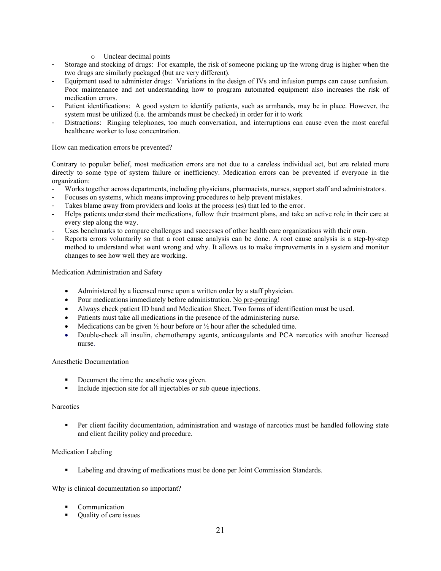- o Unclear decimal points
- Storage and stocking of drugs: For example, the risk of someone picking up the wrong drug is higher when the two drugs are similarly packaged (but are very different).
- Equipment used to administer drugs: Variations in the design of IVs and infusion pumps can cause confusion. Poor maintenance and not understanding how to program automated equipment also increases the risk of medication errors.
- Patient identifications: A good system to identify patients, such as armbands, may be in place. However, the system must be utilized (i.e. the armbands must be checked) in order for it to work
- Distractions: Ringing telephones, too much conversation, and interruptions can cause even the most careful healthcare worker to lose concentration.

#### How can medication errors be prevented?

Contrary to popular belief, most medication errors are not due to a careless individual act, but are related more directly to some type of system failure or inefficiency. Medication errors can be prevented if everyone in the organization:

- Works together across departments, including physicians, pharmacists, nurses, support staff and administrators.
- Focuses on systems, which means improving procedures to help prevent mistakes.
- Takes blame away from providers and looks at the process (es) that led to the error.
- Helps patients understand their medications, follow their treatment plans, and take an active role in their care at every step along the way.
- Uses benchmarks to compare challenges and successes of other health care organizations with their own.
- Reports errors voluntarily so that a root cause analysis can be done. A root cause analysis is a step-by-step method to understand what went wrong and why. It allows us to make improvements in a system and monitor changes to see how well they are working.

Medication Administration and Safety

- Administered by a licensed nurse upon a written order by a staff physician.
- Pour medications immediately before administration. No pre-pouring!
- Always check patient ID band and Medication Sheet. Two forms of identification must be used.
- Patients must take all medications in the presence of the administering nurse.
- Medications can be given  $\frac{1}{2}$  hour before or  $\frac{1}{2}$  hour after the scheduled time.
- Double-check all insulin, chemotherapy agents, anticoagulants and PCA narcotics with another licensed nurse.

#### Anesthetic Documentation

- Document the time the anesthetic was given.
- Include injection site for all injectables or sub queue injections.

#### **Narcotics**

**Per client facility documentation, administration and wastage of narcotics must be handled following state** and client facility policy and procedure.

#### Medication Labeling

Labeling and drawing of medications must be done per Joint Commission Standards.

Why is clinical documentation so important?

- Communication
- Quality of care issues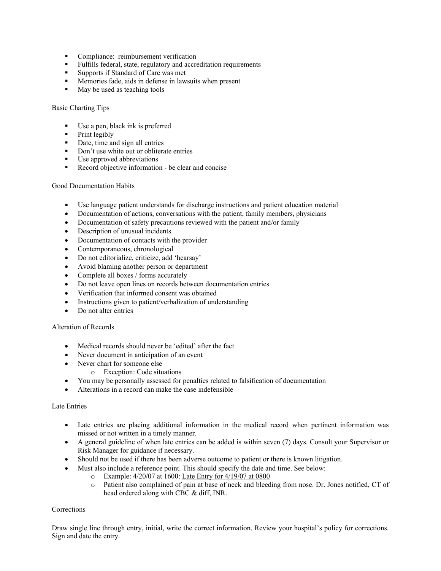- **Compliance:** reimbursement verification
- Fulfills federal, state, regulatory and accreditation requirements
- Supports if Standard of Care was met
- Memories fade, aids in defense in lawsuits when present
- May be used as teaching tools

# Basic Charting Tips

- Use a pen, black ink is preferred
- Print legibly
- Date, time and sign all entries
- Don't use white out or obliterate entries
- Use approved abbreviations
- Record objective information be clear and concise

# Good Documentation Habits

- Use language patient understands for discharge instructions and patient education material
- Documentation of actions, conversations with the patient, family members, physicians
- Documentation of safety precautions reviewed with the patient and/or family
- Description of unusual incidents
- Documentation of contacts with the provider
- Contemporaneous, chronological
- Do not editorialize, criticize, add 'hearsay'
- Avoid blaming another person or department
- Complete all boxes / forms accurately
- Do not leave open lines on records between documentation entries
- Verification that informed consent was obtained
- Instructions given to patient/verbalization of understanding
- Do not alter entries

# Alteration of Records

- Medical records should never be 'edited' after the fact
- Never document in anticipation of an event
- Never chart for someone else
	- o Exception: Code situations
- You may be personally assessed for penalties related to falsification of documentation
- Alterations in a record can make the case indefensible

# Late Entries

- Late entries are placing additional information in the medical record when pertinent information was missed or not written in a timely manner.
- A general guideline of when late entries can be added is within seven (7) days. Consult your Supervisor or Risk Manager for guidance if necessary.
- Should not be used if there has been adverse outcome to patient or there is known litigation.
- Must also include a reference point. This should specify the date and time. See below:
	- o Example: 4/20/07 at 1600: Late Entry for 4/19/07 at 0800
	- o Patient also complained of pain at base of neck and bleeding from nose. Dr. Jones notified, CT of head ordered along with CBC & diff, INR.

# Corrections

Draw single line through entry, initial, write the correct information. Review your hospital's policy for corrections. Sign and date the entry.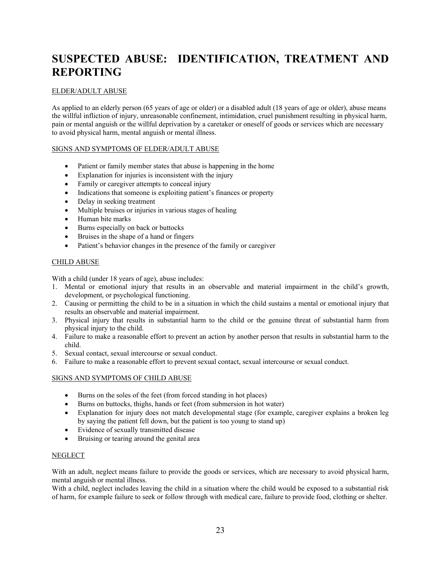# **SUSPECTED ABUSE: IDENTIFICATION, TREATMENT AND REPORTING**

# ELDER/ADULT ABUSE

As applied to an elderly person (65 years of age or older) or a disabled adult (18 years of age or older), abuse means the willful infliction of injury, unreasonable confinement, intimidation, cruel punishment resulting in physical harm, pain or mental anguish or the willful deprivation by a caretaker or oneself of goods or services which are necessary to avoid physical harm, mental anguish or mental illness.

# SIGNS AND SYMPTOMS OF ELDER/ADULT ABUSE

- Patient or family member states that abuse is happening in the home
- Explanation for injuries is inconsistent with the injury
- Family or caregiver attempts to conceal injury
- Indications that someone is exploiting patient's finances or property
- Delay in seeking treatment
- Multiple bruises or injuries in various stages of healing
- Human bite marks
- Burns especially on back or buttocks
- Bruises in the shape of a hand or fingers
- Patient's behavior changes in the presence of the family or caregiver

# CHILD ABUSE

With a child (under 18 years of age), abuse includes:

- 1. Mental or emotional injury that results in an observable and material impairment in the child's growth, development, or psychological functioning.
- 2. Causing or permitting the child to be in a situation in which the child sustains a mental or emotional injury that results an observable and material impairment.
- 3. Physical injury that results in substantial harm to the child or the genuine threat of substantial harm from physical injury to the child.
- 4. Failure to make a reasonable effort to prevent an action by another person that results in substantial harm to the child.
- 5. Sexual contact, sexual intercourse or sexual conduct.
- 6. Failure to make a reasonable effort to prevent sexual contact, sexual intercourse or sexual conduct.

# SIGNS AND SYMPTOMS OF CHILD ABUSE

- Burns on the soles of the feet (from forced standing in hot places)
- Burns on buttocks, thighs, hands or feet (from submersion in hot water)
- Explanation for injury does not match developmental stage (for example, caregiver explains a broken leg by saying the patient fell down, but the patient is too young to stand up)
- Evidence of sexually transmitted disease
- Bruising or tearing around the genital area

# **NEGLECT**

With an adult, neglect means failure to provide the goods or services, which are necessary to avoid physical harm, mental anguish or mental illness.

With a child, neglect includes leaving the child in a situation where the child would be exposed to a substantial risk of harm, for example failure to seek or follow through with medical care, failure to provide food, clothing or shelter.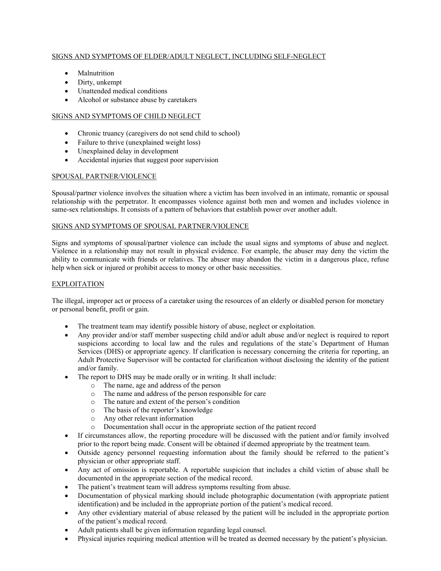# SIGNS AND SYMPTOMS OF ELDER/ADULT NEGLECT, INCLUDING SELF-NEGLECT

- Malnutrition
- Dirty, unkempt
- Unattended medical conditions
- Alcohol or substance abuse by caretakers

# SIGNS AND SYMPTOMS OF CHILD NEGLECT

- Chronic truancy (caregivers do not send child to school)
- Failure to thrive (unexplained weight loss)
- Unexplained delay in development
- Accidental injuries that suggest poor supervision

# SPOUSAL PARTNER/VIOLENCE

Spousal/partner violence involves the situation where a victim has been involved in an intimate, romantic or spousal relationship with the perpetrator. It encompasses violence against both men and women and includes violence in same-sex relationships. It consists of a pattern of behaviors that establish power over another adult.

# SIGNS AND SYMPTOMS OF SPOUSAL PARTNER/VIOLENCE

Signs and symptoms of spousal/partner violence can include the usual signs and symptoms of abuse and neglect. Violence in a relationship may not result in physical evidence. For example, the abuser may deny the victim the ability to communicate with friends or relatives. The abuser may abandon the victim in a dangerous place, refuse help when sick or injured or prohibit access to money or other basic necessities.

#### EXPLOITATION

The illegal, improper act or process of a caretaker using the resources of an elderly or disabled person for monetary or personal benefit, profit or gain.

- The treatment team may identify possible history of abuse, neglect or exploitation.
- Any provider and/or staff member suspecting child and/or adult abuse and/or neglect is required to report suspicions according to local law and the rules and regulations of the state's Department of Human Services (DHS) or appropriate agency. If clarification is necessary concerning the criteria for reporting, an Adult Protective Supervisor will be contacted for clarification without disclosing the identity of the patient and/or family.
- The report to DHS may be made orally or in writing. It shall include:
	- o The name, age and address of the person
	- o The name and address of the person responsible for care
	- o The nature and extent of the person's condition
	- o The basis of the reporter's knowledge
	- o Any other relevant information
	- o Documentation shall occur in the appropriate section of the patient record
- If circumstances allow, the reporting procedure will be discussed with the patient and/or family involved prior to the report being made. Consent will be obtained if deemed appropriate by the treatment team.
- Outside agency personnel requesting information about the family should be referred to the patient's physician or other appropriate staff.
- Any act of omission is reportable. A reportable suspicion that includes a child victim of abuse shall be documented in the appropriate section of the medical record.
- The patient's treatment team will address symptoms resulting from abuse.
- Documentation of physical marking should include photographic documentation (with appropriate patient identification) and be included in the appropriate portion of the patient's medical record.
- Any other evidentiary material of abuse released by the patient will be included in the appropriate portion of the patient's medical record.
- Adult patients shall be given information regarding legal counsel.
- Physical injuries requiring medical attention will be treated as deemed necessary by the patient's physician.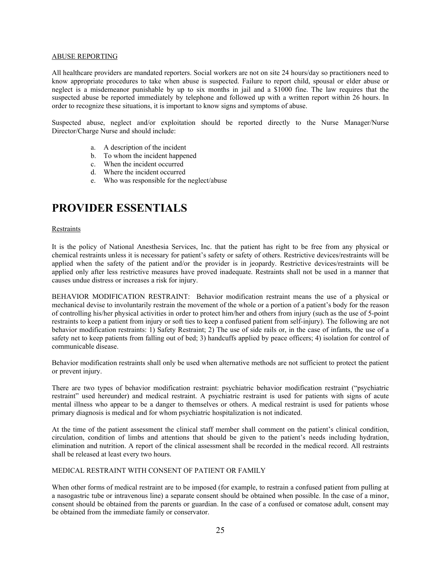#### ABUSE REPORTING

All healthcare providers are mandated reporters. Social workers are not on site 24 hours/day so practitioners need to know appropriate procedures to take when abuse is suspected. Failure to report child, spousal or elder abuse or neglect is a misdemeanor punishable by up to six months in jail and a \$1000 fine. The law requires that the suspected abuse be reported immediately by telephone and followed up with a written report within 26 hours. In order to recognize these situations, it is important to know signs and symptoms of abuse.

Suspected abuse, neglect and/or exploitation should be reported directly to the Nurse Manager/Nurse Director/Charge Nurse and should include:

- a. A description of the incident
- b. To whom the incident happened
- c. When the incident occurred
- d. Where the incident occurred
- e. Who was responsible for the neglect/abuse

# **PROVIDER ESSENTIALS**

#### Restraints

It is the policy of National Anesthesia Services, Inc. that the patient has right to be free from any physical or chemical restraints unless it is necessary for patient's safety or safety of others. Restrictive devices/restraints will be applied when the safety of the patient and/or the provider is in jeopardy. Restrictive devices/restraints will be applied only after less restrictive measures have proved inadequate. Restraints shall not be used in a manner that causes undue distress or increases a risk for injury.

BEHAVIOR MODIFICATION RESTRAINT: Behavior modification restraint means the use of a physical or mechanical devise to involuntarily restrain the movement of the whole or a portion of a patient's body for the reason of controlling his/her physical activities in order to protect him/her and others from injury (such as the use of 5-point restraints to keep a patient from injury or soft ties to keep a confused patient from self-injury). The following are not behavior modification restraints: 1) Safety Restraint; 2) The use of side rails or, in the case of infants, the use of a safety net to keep patients from falling out of bed; 3) handcuffs applied by peace officers; 4) isolation for control of communicable disease.

Behavior modification restraints shall only be used when alternative methods are not sufficient to protect the patient or prevent injury.

There are two types of behavior modification restraint: psychiatric behavior modification restraint ("psychiatric restraint" used hereunder) and medical restraint. A psychiatric restraint is used for patients with signs of acute mental illness who appear to be a danger to themselves or others. A medical restraint is used for patients whose primary diagnosis is medical and for whom psychiatric hospitalization is not indicated.

At the time of the patient assessment the clinical staff member shall comment on the patient's clinical condition, circulation, condition of limbs and attentions that should be given to the patient's needs including hydration, elimination and nutrition. A report of the clinical assessment shall be recorded in the medical record. All restraints shall be released at least every two hours.

#### MEDICAL RESTRAINT WITH CONSENT OF PATIENT OR FAMILY

When other forms of medical restraint are to be imposed (for example, to restrain a confused patient from pulling at a nasogastric tube or intravenous line) a separate consent should be obtained when possible. In the case of a minor, consent should be obtained from the parents or guardian. In the case of a confused or comatose adult, consent may be obtained from the immediate family or conservator.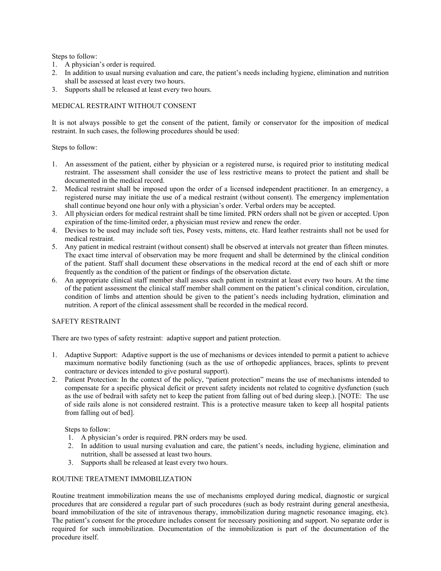Steps to follow:

- 1. A physician's order is required.
- 2. In addition to usual nursing evaluation and care, the patient's needs including hygiene, elimination and nutrition shall be assessed at least every two hours.
- 3. Supports shall be released at least every two hours.

# MEDICAL RESTRAINT WITHOUT CONSENT

It is not always possible to get the consent of the patient, family or conservator for the imposition of medical restraint. In such cases, the following procedures should be used:

Steps to follow:

- 1. An assessment of the patient, either by physician or a registered nurse, is required prior to instituting medical restraint. The assessment shall consider the use of less restrictive means to protect the patient and shall be documented in the medical record.
- 2. Medical restraint shall be imposed upon the order of a licensed independent practitioner. In an emergency, a registered nurse may initiate the use of a medical restraint (without consent). The emergency implementation shall continue beyond one hour only with a physician's order. Verbal orders may be accepted.
- 3. All physician orders for medical restraint shall be time limited. PRN orders shall not be given or accepted. Upon expiration of the time-limited order, a physician must review and renew the order.
- 4. Devises to be used may include soft ties, Posey vests, mittens, etc. Hard leather restraints shall not be used for medical restraint.
- 5. Any patient in medical restraint (without consent) shall be observed at intervals not greater than fifteen minutes. The exact time interval of observation may be more frequent and shall be determined by the clinical condition of the patient. Staff shall document these observations in the medical record at the end of each shift or more frequently as the condition of the patient or findings of the observation dictate.
- 6. An appropriate clinical staff member shall assess each patient in restraint at least every two hours. At the time of the patient assessment the clinical staff member shall comment on the patient's clinical condition, circulation, condition of limbs and attention should be given to the patient's needs including hydration, elimination and nutrition. A report of the clinical assessment shall be recorded in the medical record.

# SAFETY RESTRAINT

There are two types of safety restraint: adaptive support and patient protection.

- 1. Adaptive Support: Adaptive support is the use of mechanisms or devices intended to permit a patient to achieve maximum normative bodily functioning (such as the use of orthopedic appliances, braces, splints to prevent contracture or devices intended to give postural support).
- 2. Patient Protection: In the context of the policy, "patient protection" means the use of mechanisms intended to compensate for a specific physical deficit or prevent safety incidents not related to cognitive dysfunction (such as the use of bedrail with safety net to keep the patient from falling out of bed during sleep.). [NOTE: The use of side rails alone is not considered restraint. This is a protective measure taken to keep all hospital patients from falling out of bed].

Steps to follow:

- 1. A physician's order is required. PRN orders may be used.
- 2. In addition to usual nursing evaluation and care, the patient's needs, including hygiene, elimination and nutrition, shall be assessed at least two hours.
- 3. Supports shall be released at least every two hours.

# ROUTINE TREATMENT IMMOBILIZATION

Routine treatment immobilization means the use of mechanisms employed during medical, diagnostic or surgical procedures that are considered a regular part of such procedures (such as body restraint during general anesthesia, board immobilization of the site of intravenous therapy, immobilization during magnetic resonance imaging, etc). The patient's consent for the procedure includes consent for necessary positioning and support. No separate order is required for such immobilization. Documentation of the immobilization is part of the documentation of the procedure itself.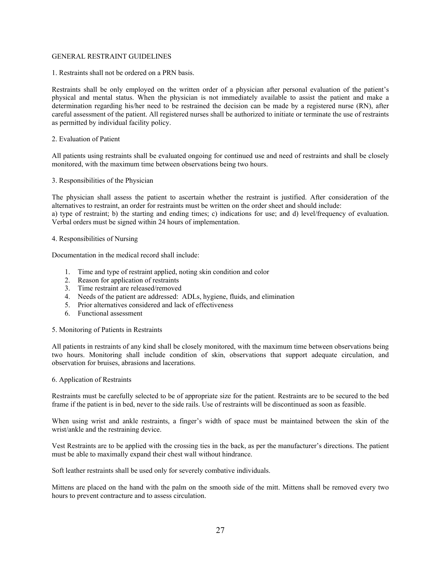#### GENERAL RESTRAINT GUIDELINES

1. Restraints shall not be ordered on a PRN basis.

Restraints shall be only employed on the written order of a physician after personal evaluation of the patient's physical and mental status. When the physician is not immediately available to assist the patient and make a determination regarding his/her need to be restrained the decision can be made by a registered nurse (RN), after careful assessment of the patient. All registered nurses shall be authorized to initiate or terminate the use of restraints as permitted by individual facility policy.

### 2. Evaluation of Patient

All patients using restraints shall be evaluated ongoing for continued use and need of restraints and shall be closely monitored, with the maximum time between observations being two hours.

#### 3. Responsibilities of the Physician

The physician shall assess the patient to ascertain whether the restraint is justified. After consideration of the alternatives to restraint, an order for restraints must be written on the order sheet and should include: a) type of restraint; b) the starting and ending times; c) indications for use; and d) level/frequency of evaluation. Verbal orders must be signed within 24 hours of implementation.

#### 4. Responsibilities of Nursing

Documentation in the medical record shall include:

- 1. Time and type of restraint applied, noting skin condition and color
- 2. Reason for application of restraints
- 3. Time restraint are released/removed
- 4. Needs of the patient are addressed: ADLs, hygiene, fluids, and elimination
- 5. Prior alternatives considered and lack of effectiveness
- 6. Functional assessment

#### 5. Monitoring of Patients in Restraints

All patients in restraints of any kind shall be closely monitored, with the maximum time between observations being two hours. Monitoring shall include condition of skin, observations that support adequate circulation, and observation for bruises, abrasions and lacerations.

#### 6. Application of Restraints

Restraints must be carefully selected to be of appropriate size for the patient. Restraints are to be secured to the bed frame if the patient is in bed, never to the side rails. Use of restraints will be discontinued as soon as feasible.

When using wrist and ankle restraints, a finger's width of space must be maintained between the skin of the wrist/ankle and the restraining device.

Vest Restraints are to be applied with the crossing ties in the back, as per the manufacturer's directions. The patient must be able to maximally expand their chest wall without hindrance.

Soft leather restraints shall be used only for severely combative individuals.

Mittens are placed on the hand with the palm on the smooth side of the mitt. Mittens shall be removed every two hours to prevent contracture and to assess circulation.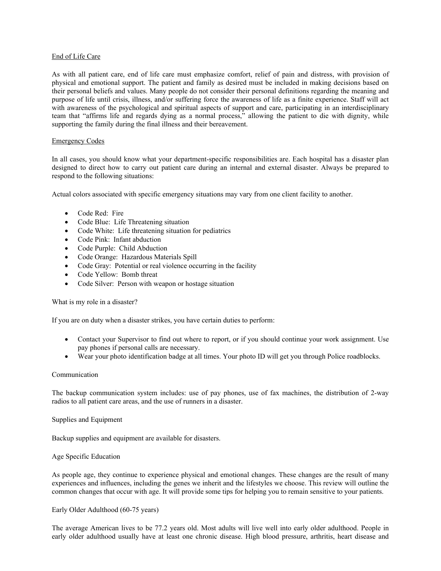#### End of Life Care

As with all patient care, end of life care must emphasize comfort, relief of pain and distress, with provision of physical and emotional support. The patient and family as desired must be included in making decisions based on their personal beliefs and values. Many people do not consider their personal definitions regarding the meaning and purpose of life until crisis, illness, and/or suffering force the awareness of life as a finite experience. Staff will act with awareness of the psychological and spiritual aspects of support and care, participating in an interdisciplinary team that "affirms life and regards dying as a normal process," allowing the patient to die with dignity, while supporting the family during the final illness and their bereavement.

#### Emergency Codes

In all cases, you should know what your department-specific responsibilities are. Each hospital has a disaster plan designed to direct how to carry out patient care during an internal and external disaster. Always be prepared to respond to the following situations:

Actual colors associated with specific emergency situations may vary from one client facility to another.

- Code Red: Fire
- Code Blue: Life Threatening situation
- Code White: Life threatening situation for pediatrics
- Code Pink: Infant abduction
- Code Purple: Child Abduction
- Code Orange: Hazardous Materials Spill
- Code Gray: Potential or real violence occurring in the facility
- Code Yellow: Bomb threat
- Code Silver: Person with weapon or hostage situation

What is my role in a disaster?

If you are on duty when a disaster strikes, you have certain duties to perform:

- Contact your Supervisor to find out where to report, or if you should continue your work assignment. Use pay phones if personal calls are necessary.
- Wear your photo identification badge at all times. Your photo ID will get you through Police roadblocks.

#### Communication

The backup communication system includes: use of pay phones, use of fax machines, the distribution of 2-way radios to all patient care areas, and the use of runners in a disaster.

Supplies and Equipment

Backup supplies and equipment are available for disasters.

#### Age Specific Education

As people age, they continue to experience physical and emotional changes. These changes are the result of many experiences and influences, including the genes we inherit and the lifestyles we choose. This review will outline the common changes that occur with age. It will provide some tips for helping you to remain sensitive to your patients.

#### Early Older Adulthood (60-75 years)

The average American lives to be 77.2 years old. Most adults will live well into early older adulthood. People in early older adulthood usually have at least one chronic disease. High blood pressure, arthritis, heart disease and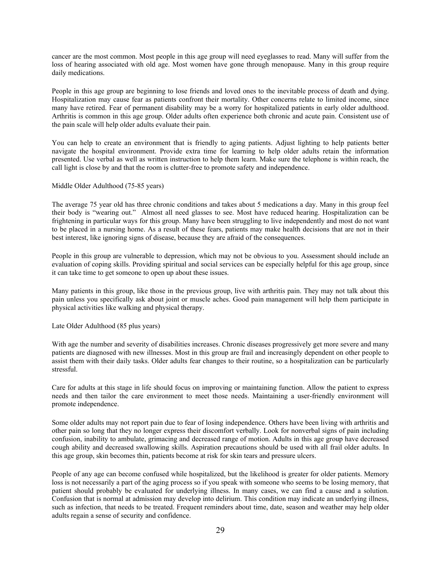cancer are the most common. Most people in this age group will need eyeglasses to read. Many will suffer from the loss of hearing associated with old age. Most women have gone through menopause. Many in this group require daily medications.

People in this age group are beginning to lose friends and loved ones to the inevitable process of death and dying. Hospitalization may cause fear as patients confront their mortality. Other concerns relate to limited income, since many have retired. Fear of permanent disability may be a worry for hospitalized patients in early older adulthood. Arthritis is common in this age group. Older adults often experience both chronic and acute pain. Consistent use of the pain scale will help older adults evaluate their pain.

You can help to create an environment that is friendly to aging patients. Adjust lighting to help patients better navigate the hospital environment. Provide extra time for learning to help older adults retain the information presented. Use verbal as well as written instruction to help them learn. Make sure the telephone is within reach, the call light is close by and that the room is clutter-free to promote safety and independence.

#### Middle Older Adulthood (75-85 years)

The average 75 year old has three chronic conditions and takes about 5 medications a day. Many in this group feel their body is "wearing out." Almost all need glasses to see. Most have reduced hearing. Hospitalization can be frightening in particular ways for this group. Many have been struggling to live independently and most do not want to be placed in a nursing home. As a result of these fears, patients may make health decisions that are not in their best interest, like ignoring signs of disease, because they are afraid of the consequences.

People in this group are vulnerable to depression, which may not be obvious to you. Assessment should include an evaluation of coping skills. Providing spiritual and social services can be especially helpful for this age group, since it can take time to get someone to open up about these issues.

Many patients in this group, like those in the previous group, live with arthritis pain. They may not talk about this pain unless you specifically ask about joint or muscle aches. Good pain management will help them participate in physical activities like walking and physical therapy.

Late Older Adulthood (85 plus years)

With age the number and severity of disabilities increases. Chronic diseases progressively get more severe and many patients are diagnosed with new illnesses. Most in this group are frail and increasingly dependent on other people to assist them with their daily tasks. Older adults fear changes to their routine, so a hospitalization can be particularly stressful.

Care for adults at this stage in life should focus on improving or maintaining function. Allow the patient to express needs and then tailor the care environment to meet those needs. Maintaining a user-friendly environment will promote independence.

Some older adults may not report pain due to fear of losing independence. Others have been living with arthritis and other pain so long that they no longer express their discomfort verbally. Look for nonverbal signs of pain including confusion, inability to ambulate, grimacing and decreased range of motion. Adults in this age group have decreased cough ability and decreased swallowing skills. Aspiration precautions should be used with all frail older adults. In this age group, skin becomes thin, patients become at risk for skin tears and pressure ulcers.

People of any age can become confused while hospitalized, but the likelihood is greater for older patients. Memory loss is not necessarily a part of the aging process so if you speak with someone who seems to be losing memory, that patient should probably be evaluated for underlying illness. In many cases, we can find a cause and a solution. Confusion that is normal at admission may develop into delirium. This condition may indicate an underlying illness, such as infection, that needs to be treated. Frequent reminders about time, date, season and weather may help older adults regain a sense of security and confidence.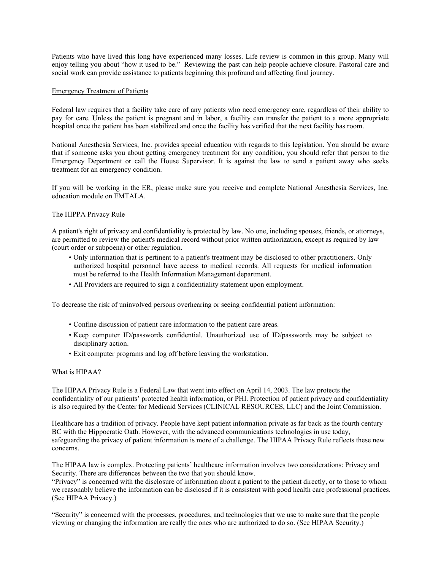Patients who have lived this long have experienced many losses. Life review is common in this group. Many will enjoy telling you about "how it used to be." Reviewing the past can help people achieve closure. Pastoral care and social work can provide assistance to patients beginning this profound and affecting final journey.

### Emergency Treatment of Patients

Federal law requires that a facility take care of any patients who need emergency care, regardless of their ability to pay for care. Unless the patient is pregnant and in labor, a facility can transfer the patient to a more appropriate hospital once the patient has been stabilized and once the facility has verified that the next facility has room.

National Anesthesia Services, Inc. provides special education with regards to this legislation. You should be aware that if someone asks you about getting emergency treatment for any condition, you should refer that person to the Emergency Department or call the House Supervisor. It is against the law to send a patient away who seeks treatment for an emergency condition.

If you will be working in the ER, please make sure you receive and complete National Anesthesia Services, Inc. education module on EMTALA.

#### The HIPPA Privacy Rule

A patient's right of privacy and confidentiality is protected by law. No one, including spouses, friends, or attorneys, are permitted to review the patient's medical record without prior written authorization, except as required by law (court order or subpoena) or other regulation.

- Only information that is pertinent to a patient's treatment may be disclosed to other practitioners. Only authorized hospital personnel have access to medical records. All requests for medical information must be referred to the Health Information Management department.
- All Providers are required to sign a confidentiality statement upon employment.

To decrease the risk of uninvolved persons overhearing or seeing confidential patient information:

- Confine discussion of patient care information to the patient care areas.
- Keep computer ID/passwords confidential. Unauthorized use of ID/passwords may be subject to disciplinary action.
- Exit computer programs and log off before leaving the workstation.

#### What is HIPAA?

The HIPAA Privacy Rule is a Federal Law that went into effect on April 14, 2003. The law protects the confidentiality of our patients' protected health information, or PHI. Protection of patient privacy and confidentiality is also required by the Center for Medicaid Services (CLINICAL RESOURCES, LLC) and the Joint Commission.

Healthcare has a tradition of privacy. People have kept patient information private as far back as the fourth century BC with the Hippocratic Oath. However, with the advanced communications technologies in use today, safeguarding the privacy of patient information is more of a challenge. The HIPAA Privacy Rule reflects these new concerns.

The HIPAA law is complex. Protecting patients' healthcare information involves two considerations: Privacy and Security. There are differences between the two that you should know.

"Privacy" is concerned with the disclosure of information about a patient to the patient directly, or to those to whom we reasonably believe the information can be disclosed if it is consistent with good health care professional practices. (See HIPAA Privacy.)

"Security" is concerned with the processes, procedures, and technologies that we use to make sure that the people viewing or changing the information are really the ones who are authorized to do so. (See HIPAA Security.)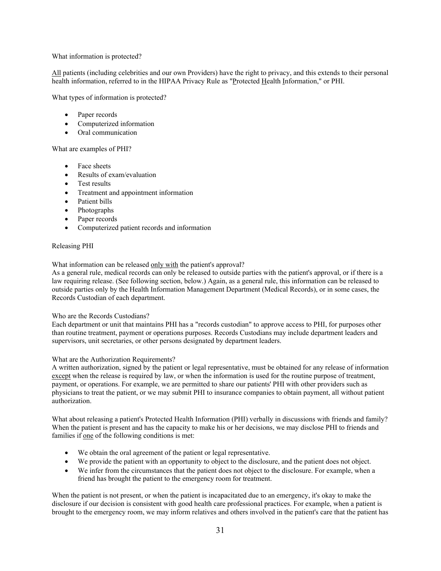### What information is protected?

All patients (including celebrities and our own Providers) have the right to privacy, and this extends to their personal health information, referred to in the HIPAA Privacy Rule as "Protected Health Information," or PHI.

What types of information is protected?

- Paper records
- Computerized information
- Oral communication

# What are examples of PHI?

- Face sheets
- Results of exam/evaluation
- Test results
- Treatment and appointment information
- Patient bills
- Photographs
- Paper records
- Computerized patient records and information

#### Releasing PHI

What information can be released only with the patient's approval?

As a general rule, medical records can only be released to outside parties with the patient's approval, or if there is a law requiring release. (See following section, below.) Again, as a general rule, this information can be released to outside parties only by the Health Information Management Department (Medical Records), or in some cases, the Records Custodian of each department.

#### Who are the Records Custodians?

Each department or unit that maintains PHI has a "records custodian" to approve access to PHI, for purposes other than routine treatment, payment or operations purposes. Records Custodians may include department leaders and supervisors, unit secretaries, or other persons designated by department leaders.

#### What are the Authorization Requirements?

A written authorization, signed by the patient or legal representative, must be obtained for any release of information except when the release is required by law, or when the information is used for the routine purpose of treatment, payment, or operations. For example, we are permitted to share our patients' PHI with other providers such as physicians to treat the patient, or we may submit PHI to insurance companies to obtain payment, all without patient authorization.

What about releasing a patient's Protected Health Information (PHI) verbally in discussions with friends and family? When the patient is present and has the capacity to make his or her decisions, we may disclose PHI to friends and families if one of the following conditions is met:

- We obtain the oral agreement of the patient or legal representative.
- We provide the patient with an opportunity to object to the disclosure, and the patient does not object.
- We infer from the circumstances that the patient does not object to the disclosure. For example, when a friend has brought the patient to the emergency room for treatment.

When the patient is not present, or when the patient is incapacitated due to an emergency, it's okay to make the disclosure if our decision is consistent with good health care professional practices. For example, when a patient is brought to the emergency room, we may inform relatives and others involved in the patient's care that the patient has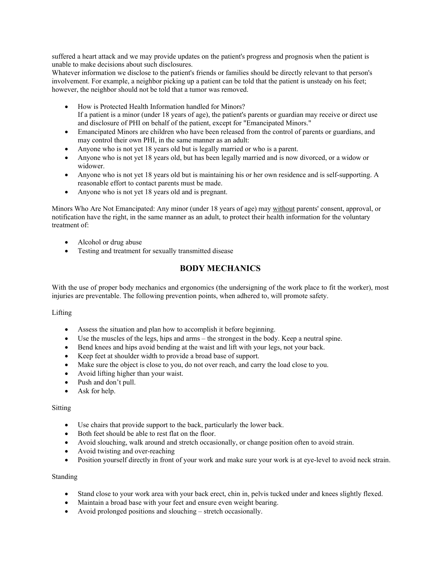suffered a heart attack and we may provide updates on the patient's progress and prognosis when the patient is unable to make decisions about such disclosures.

Whatever information we disclose to the patient's friends or families should be directly relevant to that person's involvement. For example, a neighbor picking up a patient can be told that the patient is unsteady on his feet; however, the neighbor should not be told that a tumor was removed.

- How is Protected Health Information handled for Minors? If a patient is a minor (under 18 years of age), the patient's parents or guardian may receive or direct use and disclosure of PHI on behalf of the patient, except for "Emancipated Minors."
- Emancipated Minors are children who have been released from the control of parents or guardians, and may control their own PHI, in the same manner as an adult:
- Anyone who is not yet 18 years old but is legally married or who is a parent.
- Anyone who is not yet 18 years old, but has been legally married and is now divorced, or a widow or widower.
- Anyone who is not yet 18 years old but is maintaining his or her own residence and is self-supporting. A reasonable effort to contact parents must be made.
- Anyone who is not yet 18 years old and is pregnant.

Minors Who Are Not Emancipated: Any minor (under 18 years of age) may without parents' consent, approval, or notification have the right, in the same manner as an adult, to protect their health information for the voluntary treatment of:

- Alcohol or drug abuse
- Testing and treatment for sexually transmitted disease

# **BODY MECHANICS**

With the use of proper body mechanics and ergonomics (the undersigning of the work place to fit the worker), most injuries are preventable. The following prevention points, when adhered to, will promote safety.

# Lifting

- Assess the situation and plan how to accomplish it before beginning.
- Use the muscles of the legs, hips and arms the strongest in the body. Keep a neutral spine.
- Bend knees and hips avoid bending at the waist and lift with your legs, not your back.
- Keep feet at shoulder width to provide a broad base of support.
- Make sure the object is close to you, do not over reach, and carry the load close to you.
- Avoid lifting higher than your waist.
- Push and don't pull.
- Ask for help.

# Sitting

- Use chairs that provide support to the back, particularly the lower back.
- Both feet should be able to rest flat on the floor.
- Avoid slouching, walk around and stretch occasionally, or change position often to avoid strain.
- Avoid twisting and over-reaching
- Position yourself directly in front of your work and make sure your work is at eye-level to avoid neck strain.

# Standing

- Stand close to your work area with your back erect, chin in, pelvis tucked under and knees slightly flexed.
- Maintain a broad base with your feet and ensure even weight bearing.
- Avoid prolonged positions and slouching stretch occasionally.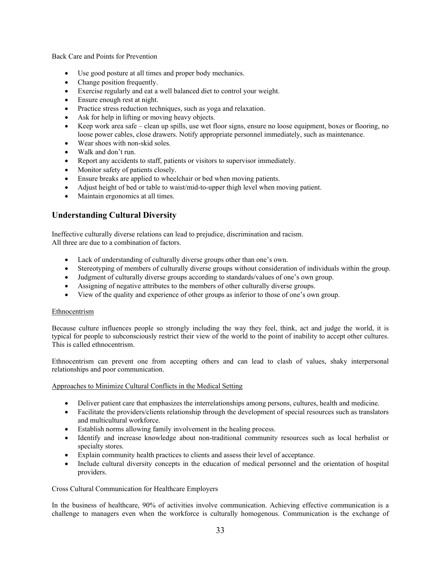Back Care and Points for Prevention

- Use good posture at all times and proper body mechanics.
- Change position frequently.
- Exercise regularly and eat a well balanced diet to control your weight.
- Ensure enough rest at night.
- Practice stress reduction techniques, such as yoga and relaxation.
- Ask for help in lifting or moving heavy objects.
- Keep work area safe clean up spills, use wet floor signs, ensure no loose equipment, boxes or flooring, no loose power cables, close drawers. Notify appropriate personnel immediately, such as maintenance.
- Wear shoes with non-skid soles.
- Walk and don't run.
- Report any accidents to staff, patients or visitors to supervisor immediately.
- Monitor safety of patients closely.
- Ensure breaks are applied to wheelchair or bed when moving patients.
- Adjust height of bed or table to waist/mid-to-upper thigh level when moving patient.
- Maintain ergonomics at all times.

# **Understanding Cultural Diversity**

Ineffective culturally diverse relations can lead to prejudice, discrimination and racism. All three are due to a combination of factors.

- Lack of understanding of culturally diverse groups other than one's own.
- Stereotyping of members of culturally diverse groups without consideration of individuals within the group.
- Judgment of culturally diverse groups according to standards/values of one's own group.
- Assigning of negative attributes to the members of other culturally diverse groups.
- View of the quality and experience of other groups as inferior to those of one's own group.

# Ethnocentrism

Because culture influences people so strongly including the way they feel, think, act and judge the world, it is typical for people to subconsciously restrict their view of the world to the point of inability to accept other cultures. This is called ethnocentrism.

Ethnocentrism can prevent one from accepting others and can lead to clash of values, shaky interpersonal relationships and poor communication.

#### Approaches to Minimize Cultural Conflicts in the Medical Setting

- Deliver patient care that emphasizes the interrelationships among persons, cultures, health and medicine.
- Facilitate the providers/clients relationship through the development of special resources such as translators and multicultural workforce.
- Establish norms allowing family involvement in the healing process.
- Identify and increase knowledge about non-traditional community resources such as local herbalist or specialty stores.
- Explain community health practices to clients and assess their level of acceptance.
- Include cultural diversity concepts in the education of medical personnel and the orientation of hospital providers.

Cross Cultural Communication for Healthcare Employers

In the business of healthcare, 90% of activities involve communication. Achieving effective communication is a challenge to managers even when the workforce is culturally homogenous. Communication is the exchange of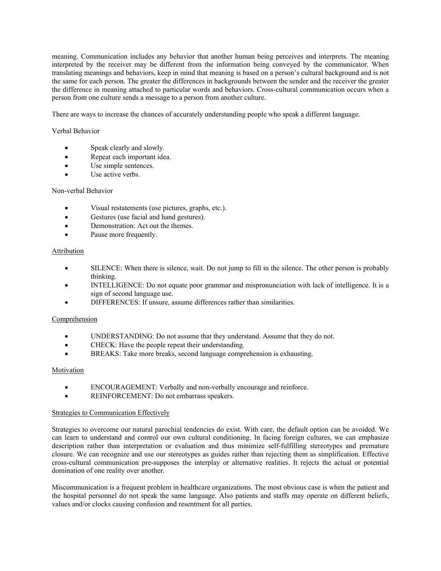meaning. Communication includes any behavior that another human being perceives and interprets. The meaning interpreted by the receiver may be different from the information being conveyed by the communicator. When translating meanings and behaviors, keep in mind that meaning is based on a person's cultural background and is not the same for each person. The greater the differences in backgrounds between the sender and the receiver the greater the difference in meaning attached to particular words and behaviors. Cross-cultural communication occurs when a person from one culture sends a message to a person from another culture.

There are ways to increase the chances of accurately understanding people who speak a different language.

# Verbal Behavior

- Speak clearly and slowly.
- Repeat each important idea.
- Use simple sentences.
- Use active verbs.

# Non-verbal Behavior

- Visual restatements (use pictures, graphs, etc.).
- Gestures (use facial and hand gestures).
- Demonstration: Act out the themes.
- Pause more frequently.

#### Attribution

- SILENCE: When there is silence, wait. Do not jump to fill in the silence. The other person is probably thinking.
- INTELLIGENCE: Do not equate poor grammar and mispronunciation with lack of intelligence. It is a sign of second language use.
- DIFFERENCES: If unsure, assume differences rather than similarities.

# Comprehension

- UNDERSTANDING: Do not assume that they understand. Assume that they do not.
- CHECK: Have the people repeat their understanding.
- BREAKS: Take more breaks, second language comprehension is exhausting.

# Motivation

- ENCOURAGEMENT: Verbally and non-verbally encourage and reinforce.
- REINFORCEMENT: Do not embarrass speakers.

#### Strategies to Communication Effectively

Strategies to overcome our natural parochial tendencies do exist. With care, the default option can be avoided. We can learn to understand and control our own cultural conditioning. In facing foreign cultures, we can emphasize description rather than interpretation or evaluation and thus minimize self-fulfilling stereotypes and premature closure. We can recognize and use our stereotypes as guides rather than rejecting them as simplification. Effective cross-cultural communication pre-supposes the interplay or alternative realities. It rejects the actual or potential domination of one reality over another.

Miscommunication is a frequent problem in healthcare organizations. The most obvious case is when the patient and the hospital personnel do not speak the same language. Also patients and staffs may operate on different beliefs, values and/or clocks causing confusion and resentment for all parties.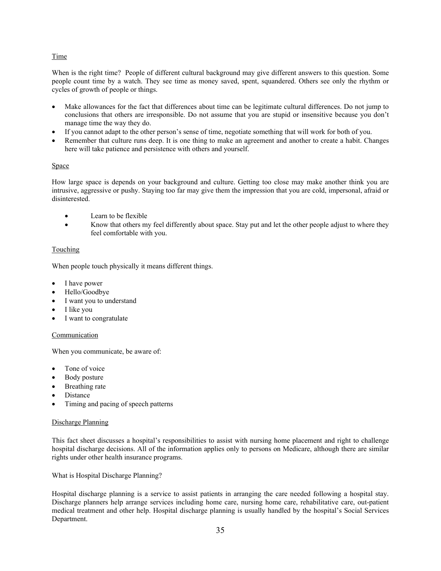# **Time**

When is the right time? People of different cultural background may give different answers to this question. Some people count time by a watch. They see time as money saved, spent, squandered. Others see only the rhythm or cycles of growth of people or things.

- Make allowances for the fact that differences about time can be legitimate cultural differences. Do not jump to conclusions that others are irresponsible. Do not assume that you are stupid or insensitive because you don't manage time the way they do.
- If you cannot adapt to the other person's sense of time, negotiate something that will work for both of you.
- Remember that culture runs deep. It is one thing to make an agreement and another to create a habit. Changes here will take patience and persistence with others and yourself.

# **Space**

How large space is depends on your background and culture. Getting too close may make another think you are intrusive, aggressive or pushy. Staying too far may give them the impression that you are cold, impersonal, afraid or disinterested.

- Learn to be flexible
- Know that others my feel differently about space. Stay put and let the other people adjust to where they feel comfortable with you.

# Touching

When people touch physically it means different things.

- I have power
- Hello/Goodbye
- I want you to understand
- I like you
- I want to congratulate

#### Communication

When you communicate, be aware of:

- Tone of voice
- Body posture
- Breathing rate
- Distance
- Timing and pacing of speech patterns

#### Discharge Planning

This fact sheet discusses a hospital's responsibilities to assist with nursing home placement and right to challenge hospital discharge decisions. All of the information applies only to persons on Medicare, although there are similar rights under other health insurance programs.

What is Hospital Discharge Planning?

Hospital discharge planning is a service to assist patients in arranging the care needed following a hospital stay. Discharge planners help arrange services including home care, nursing home care, rehabilitative care, out-patient medical treatment and other help. Hospital discharge planning is usually handled by the hospital's Social Services Department.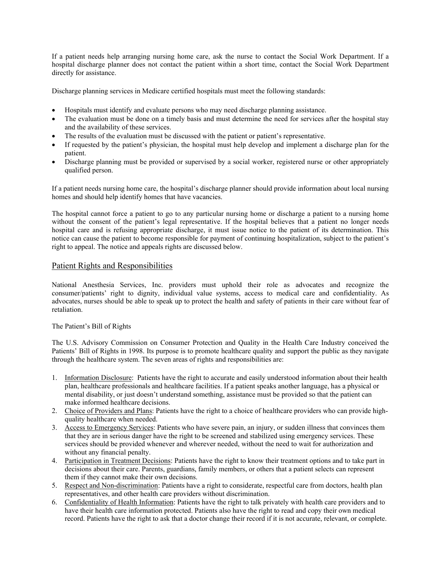If a patient needs help arranging nursing home care, ask the nurse to contact the Social Work Department. If a hospital discharge planner does not contact the patient within a short time, contact the Social Work Department directly for assistance.

Discharge planning services in Medicare certified hospitals must meet the following standards:

- Hospitals must identify and evaluate persons who may need discharge planning assistance.
- The evaluation must be done on a timely basis and must determine the need for services after the hospital stay and the availability of these services.
- The results of the evaluation must be discussed with the patient or patient's representative.
- If requested by the patient's physician, the hospital must help develop and implement a discharge plan for the patient.
- Discharge planning must be provided or supervised by a social worker, registered nurse or other appropriately qualified person.

If a patient needs nursing home care, the hospital's discharge planner should provide information about local nursing homes and should help identify homes that have vacancies.

The hospital cannot force a patient to go to any particular nursing home or discharge a patient to a nursing home without the consent of the patient's legal representative. If the hospital believes that a patient no longer needs hospital care and is refusing appropriate discharge, it must issue notice to the patient of its determination. This notice can cause the patient to become responsible for payment of continuing hospitalization, subject to the patient's right to appeal. The notice and appeals rights are discussed below.

# Patient Rights and Responsibilities

National Anesthesia Services, Inc. providers must uphold their role as advocates and recognize the consumer/patients' right to dignity, individual value systems, access to medical care and confidentiality. As advocates, nurses should be able to speak up to protect the health and safety of patients in their care without fear of retaliation.

# The Patient's Bill of Rights

The U.S. Advisory Commission on Consumer Protection and Quality in the Health Care Industry conceived the Patients' Bill of Rights in 1998. Its purpose is to promote healthcare quality and support the public as they navigate through the healthcare system. The seven areas of rights and responsibilities are:

- 1. Information Disclosure: Patients have the right to accurate and easily understood information about their health plan, healthcare professionals and healthcare facilities. If a patient speaks another language, has a physical or mental disability, or just doesn't understand something, assistance must be provided so that the patient can make informed healthcare decisions.
- 2. Choice of Providers and Plans: Patients have the right to a choice of healthcare providers who can provide highquality healthcare when needed.
- 3. Access to Emergency Services: Patients who have severe pain, an injury, or sudden illness that convinces them that they are in serious danger have the right to be screened and stabilized using emergency services. These services should be provided whenever and wherever needed, without the need to wait for authorization and without any financial penalty.
- 4. Participation in Treatment Decisions: Patients have the right to know their treatment options and to take part in decisions about their care. Parents, guardians, family members, or others that a patient selects can represent them if they cannot make their own decisions.
- 5. Respect and Non-discrimination: Patients have a right to considerate, respectful care from doctors, health plan representatives, and other health care providers without discrimination.
- 6. Confidentiality of Health Information: Patients have the right to talk privately with health care providers and to have their health care information protected. Patients also have the right to read and copy their own medical record. Patients have the right to ask that a doctor change their record if it is not accurate, relevant, or complete.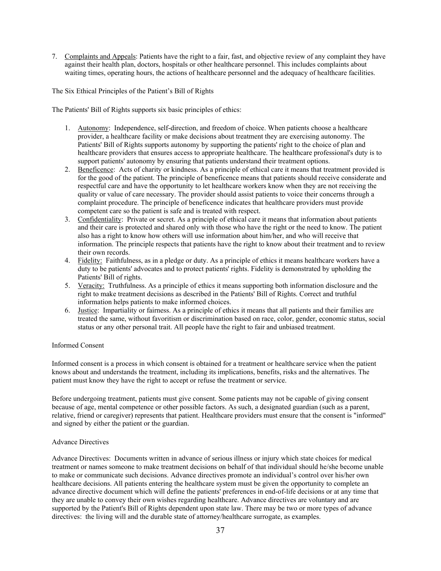7. Complaints and Appeals: Patients have the right to a fair, fast, and objective review of any complaint they have against their health plan, doctors, hospitals or other healthcare personnel. This includes complaints about waiting times, operating hours, the actions of healthcare personnel and the adequacy of healthcare facilities.

The Six Ethical Principles of the Patient's Bill of Rights

The Patients' Bill of Rights supports six basic principles of ethics:

- 1. Autonomy: Independence, self-direction, and freedom of choice. When patients choose a healthcare provider, a healthcare facility or make decisions about treatment they are exercising autonomy. The Patients' Bill of Rights supports autonomy by supporting the patients' right to the choice of plan and healthcare providers that ensures access to appropriate healthcare. The healthcare professional's duty is to support patients' autonomy by ensuring that patients understand their treatment options.
- 2. Beneficence: Acts of charity or kindness. As a principle of ethical care it means that treatment provided is for the good of the patient. The principle of beneficence means that patients should receive considerate and respectful care and have the opportunity to let healthcare workers know when they are not receiving the quality or value of care necessary. The provider should assist patients to voice their concerns through a complaint procedure. The principle of beneficence indicates that healthcare providers must provide competent care so the patient is safe and is treated with respect.
- 3. Confidentiality: Private or secret. As a principle of ethical care it means that information about patients and their care is protected and shared only with those who have the right or the need to know. The patient also has a right to know how others will use information about him/her, and who will receive that information. The principle respects that patients have the right to know about their treatment and to review their own records.
- 4. Fidelity: Faithfulness, as in a pledge or duty. As a principle of ethics it means healthcare workers have a duty to be patients' advocates and to protect patients' rights. Fidelity is demonstrated by upholding the Patients' Bill of rights.
- 5. Veracity: Truthfulness. As a principle of ethics it means supporting both information disclosure and the right to make treatment decisions as described in the Patients' Bill of Rights. Correct and truthful information helps patients to make informed choices.
- 6. Justice: Impartiality or fairness. As a principle of ethics it means that all patients and their families are treated the same, without favoritism or discrimination based on race, color, gender, economic status, social status or any other personal trait. All people have the right to fair and unbiased treatment.

#### Informed Consent

Informed consent is a process in which consent is obtained for a treatment or healthcare service when the patient knows about and understands the treatment, including its implications, benefits, risks and the alternatives. The patient must know they have the right to accept or refuse the treatment or service.

Before undergoing treatment, patients must give consent. Some patients may not be capable of giving consent because of age, mental competence or other possible factors. As such, a designated guardian (such as a parent, relative, friend or caregiver) represents that patient. Healthcare providers must ensure that the consent is "informed" and signed by either the patient or the guardian.

#### Advance Directives

Advance Directives: Documents written in advance of serious illness or injury which state choices for medical treatment or names someone to make treatment decisions on behalf of that individual should he/she become unable to make or communicate such decisions. Advance directives promote an individual's control over his/her own healthcare decisions. All patients entering the healthcare system must be given the opportunity to complete an advance directive document which will define the patients' preferences in end-of-life decisions or at any time that they are unable to convey their own wishes regarding healthcare. Advance directives are voluntary and are supported by the Patient's Bill of Rights dependent upon state law. There may be two or more types of advance directives: the living will and the durable state of attorney/healthcare surrogate, as examples.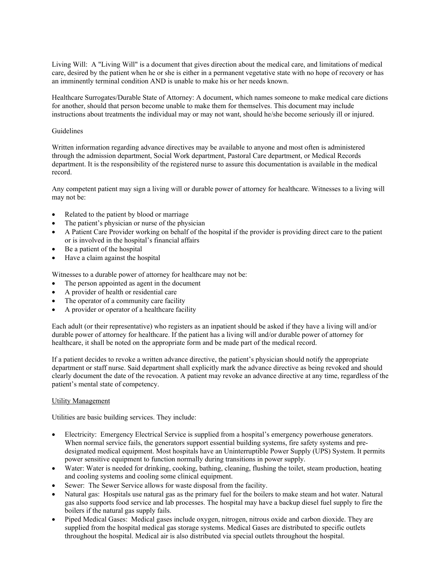Living Will: A "Living Will" is a document that gives direction about the medical care, and limitations of medical care, desired by the patient when he or she is either in a permanent vegetative state with no hope of recovery or has an imminently terminal condition AND is unable to make his or her needs known.

Healthcare Surrogates/Durable State of Attorney: A document, which names someone to make medical care dictions for another, should that person become unable to make them for themselves. This document may include instructions about treatments the individual may or may not want, should he/she become seriously ill or injured.

# Guidelines

Written information regarding advance directives may be available to anyone and most often is administered through the admission department, Social Work department, Pastoral Care department, or Medical Records department. It is the responsibility of the registered nurse to assure this documentation is available in the medical record.

Any competent patient may sign a living will or durable power of attorney for healthcare. Witnesses to a living will may not be:

- Related to the patient by blood or marriage
- The patient's physician or nurse of the physician
- A Patient Care Provider working on behalf of the hospital if the provider is providing direct care to the patient or is involved in the hospital's financial affairs
- Be a patient of the hospital
- Have a claim against the hospital

Witnesses to a durable power of attorney for healthcare may not be:

- The person appointed as agent in the document
- A provider of health or residential care
- The operator of a community care facility
- A provider or operator of a healthcare facility

Each adult (or their representative) who registers as an inpatient should be asked if they have a living will and/or durable power of attorney for healthcare. If the patient has a living will and/or durable power of attorney for healthcare, it shall be noted on the appropriate form and be made part of the medical record.

If a patient decides to revoke a written advance directive, the patient's physician should notify the appropriate department or staff nurse. Said department shall explicitly mark the advance directive as being revoked and should clearly document the date of the revocation. A patient may revoke an advance directive at any time, regardless of the patient's mental state of competency.

#### Utility Management

Utilities are basic building services. They include:

- Electricity: Emergency Electrical Service is supplied from a hospital's emergency powerhouse generators. When normal service fails, the generators support essential building systems, fire safety systems and predesignated medical equipment. Most hospitals have an Uninterruptible Power Supply (UPS) System. It permits power sensitive equipment to function normally during transitions in power supply.
- Water: Water is needed for drinking, cooking, bathing, cleaning, flushing the toilet, steam production, heating and cooling systems and cooling some clinical equipment.
- Sewer: The Sewer Service allows for waste disposal from the facility.
- Natural gas: Hospitals use natural gas as the primary fuel for the boilers to make steam and hot water. Natural gas also supports food service and lab processes. The hospital may have a backup diesel fuel supply to fire the boilers if the natural gas supply fails.
- Piped Medical Gases: Medical gases include oxygen, nitrogen, nitrous oxide and carbon dioxide. They are supplied from the hospital medical gas storage systems. Medical Gases are distributed to specific outlets throughout the hospital. Medical air is also distributed via special outlets throughout the hospital.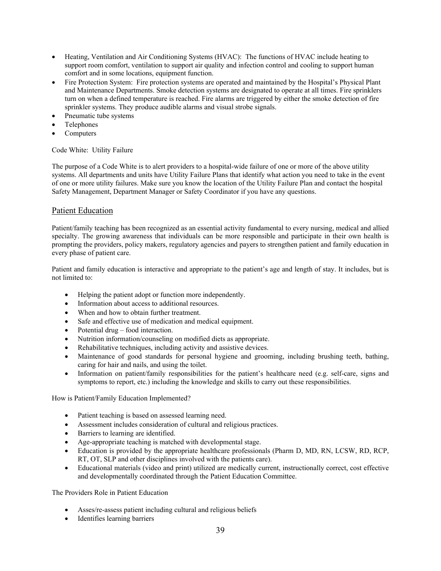- Heating, Ventilation and Air Conditioning Systems (HVAC): The functions of HVAC include heating to support room comfort, ventilation to support air quality and infection control and cooling to support human comfort and in some locations, equipment function.
- Fire Protection System: Fire protection systems are operated and maintained by the Hospital's Physical Plant and Maintenance Departments. Smoke detection systems are designated to operate at all times. Fire sprinklers turn on when a defined temperature is reached. Fire alarms are triggered by either the smoke detection of fire sprinkler systems. They produce audible alarms and visual strobe signals.
- Pneumatic tube systems
- Telephones
- Computers

Code White: Utility Failure

The purpose of a Code White is to alert providers to a hospital-wide failure of one or more of the above utility systems. All departments and units have Utility Failure Plans that identify what action you need to take in the event of one or more utility failures. Make sure you know the location of the Utility Failure Plan and contact the hospital Safety Management, Department Manager or Safety Coordinator if you have any questions.

# Patient Education

Patient/family teaching has been recognized as an essential activity fundamental to every nursing, medical and allied specialty. The growing awareness that individuals can be more responsible and participate in their own health is prompting the providers, policy makers, regulatory agencies and payers to strengthen patient and family education in every phase of patient care.

Patient and family education is interactive and appropriate to the patient's age and length of stay. It includes, but is not limited to:

- Helping the patient adopt or function more independently.
- Information about access to additional resources.
- When and how to obtain further treatment.
- Safe and effective use of medication and medical equipment.
- Potential drug food interaction.
- Nutrition information/counseling on modified diets as appropriate.
- Rehabilitative techniques, including activity and assistive devices.
- Maintenance of good standards for personal hygiene and grooming, including brushing teeth, bathing, caring for hair and nails, and using the toilet.
- Information on patient/family responsibilities for the patient's healthcare need (e.g. self-care, signs and symptoms to report, etc.) including the knowledge and skills to carry out these responsibilities.

How is Patient/Family Education Implemented?

- Patient teaching is based on assessed learning need.
- Assessment includes consideration of cultural and religious practices.
- **Barriers to learning are identified.**
- Age-appropriate teaching is matched with developmental stage.
- Education is provided by the appropriate healthcare professionals (Pharm D, MD, RN, LCSW, RD, RCP, RT, OT, SLP and other disciplines involved with the patients care).
- Educational materials (video and print) utilized are medically current, instructionally correct, cost effective and developmentally coordinated through the Patient Education Committee.

The Providers Role in Patient Education

- Asses/re-assess patient including cultural and religious beliefs
- Identifies learning barriers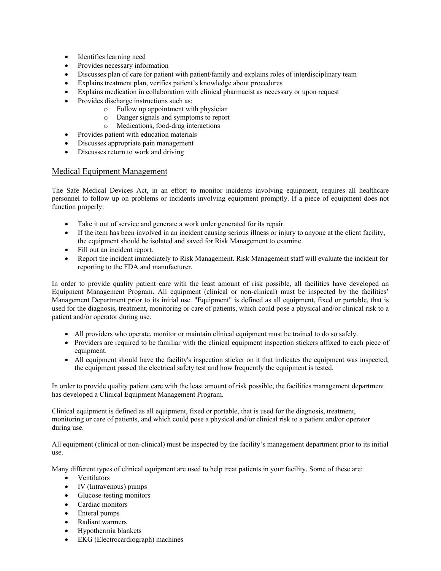- Identifies learning need
- Provides necessary information
- Discusses plan of care for patient with patient/family and explains roles of interdisciplinary team
- Explains treatment plan, verifies patient's knowledge about procedures
- Explains medication in collaboration with clinical pharmacist as necessary or upon request
- Provides discharge instructions such as:
	- o Follow up appointment with physician
	- o Danger signals and symptoms to report
	- o Medications, food-drug interactions
- Provides patient with education materials
- Discusses appropriate pain management
- Discusses return to work and driving

# Medical Equipment Management

The Safe Medical Devices Act, in an effort to monitor incidents involving equipment, requires all healthcare personnel to follow up on problems or incidents involving equipment promptly. If a piece of equipment does not function properly:

- Take it out of service and generate a work order generated for its repair.
- If the item has been involved in an incident causing serious illness or injury to anyone at the client facility, the equipment should be isolated and saved for Risk Management to examine.
- Fill out an incident report.
- Report the incident immediately to Risk Management. Risk Management staff will evaluate the incident for reporting to the FDA and manufacturer.

In order to provide quality patient care with the least amount of risk possible, all facilities have developed an Equipment Management Program. All equipment (clinical or non-clinical) must be inspected by the facilities' Management Department prior to its initial use. "Equipment" is defined as all equipment, fixed or portable, that is used for the diagnosis, treatment, monitoring or care of patients, which could pose a physical and/or clinical risk to a patient and/or operator during use.

- All providers who operate, monitor or maintain clinical equipment must be trained to do so safely.
- Providers are required to be familiar with the clinical equipment inspection stickers affixed to each piece of equipment.
- All equipment should have the facility's inspection sticker on it that indicates the equipment was inspected, the equipment passed the electrical safety test and how frequently the equipment is tested.

In order to provide quality patient care with the least amount of risk possible, the facilities management department has developed a Clinical Equipment Management Program.

Clinical equipment is defined as all equipment, fixed or portable, that is used for the diagnosis, treatment, monitoring or care of patients, and which could pose a physical and/or clinical risk to a patient and/or operator during use.

All equipment (clinical or non-clinical) must be inspected by the facility's management department prior to its initial use.

Many different types of clinical equipment are used to help treat patients in your facility. Some of these are:

- Ventilators
- IV (Intravenous) pumps
- Glucose-testing monitors
- Cardiac monitors
- Enteral pumps
- Radiant warmers
- Hypothermia blankets
- EKG (Electrocardiograph) machines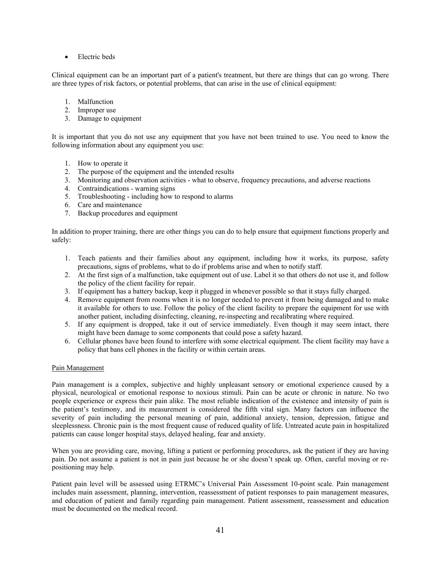• Electric beds

Clinical equipment can be an important part of a patient's treatment, but there are things that can go wrong. There are three types of risk factors, or potential problems, that can arise in the use of clinical equipment:

- 1. Malfunction
- 2. Improper use
- 3. Damage to equipment

It is important that you do not use any equipment that you have not been trained to use. You need to know the following information about any equipment you use:

- 1. How to operate it
- 2. The purpose of the equipment and the intended results
- 3. Monitoring and observation activities what to observe, frequency precautions, and adverse reactions
- 4. Contraindications warning signs
- 5. Troubleshooting including how to respond to alarms
- 6. Care and maintenance
- 7. Backup procedures and equipment

In addition to proper training, there are other things you can do to help ensure that equipment functions properly and safely:

- 1. Teach patients and their families about any equipment, including how it works, its purpose, safety precautions, signs of problems, what to do if problems arise and when to notify staff.
- 2. At the first sign of a malfunction, take equipment out of use. Label it so that others do not use it, and follow the policy of the client facility for repair.
- 3. If equipment has a battery backup, keep it plugged in whenever possible so that it stays fully charged.
- 4. Remove equipment from rooms when it is no longer needed to prevent it from being damaged and to make it available for others to use. Follow the policy of the client facility to prepare the equipment for use with another patient, including disinfecting, cleaning, re-inspecting and recalibrating where required.
- 5. If any equipment is dropped, take it out of service immediately. Even though it may seem intact, there might have been damage to some components that could pose a safety hazard.
- 6. Cellular phones have been found to interfere with some electrical equipment. The client facility may have a policy that bans cell phones in the facility or within certain areas.

# Pain Management

Pain management is a complex, subjective and highly unpleasant sensory or emotional experience caused by a physical, neurological or emotional response to noxious stimuli. Pain can be acute or chronic in nature. No two people experience or express their pain alike. The most reliable indication of the existence and intensity of pain is the patient's testimony, and its measurement is considered the fifth vital sign. Many factors can influence the severity of pain including the personal meaning of pain, additional anxiety, tension, depression, fatigue and sleeplessness. Chronic pain is the most frequent cause of reduced quality of life. Untreated acute pain in hospitalized patients can cause longer hospital stays, delayed healing, fear and anxiety.

When you are providing care, moving, lifting a patient or performing procedures, ask the patient if they are having pain. Do not assume a patient is not in pain just because he or she doesn't speak up. Often, careful moving or repositioning may help.

Patient pain level will be assessed using ETRMC's Universal Pain Assessment 10-point scale. Pain management includes main assessment, planning, intervention, reassessment of patient responses to pain management measures, and education of patient and family regarding pain management. Patient assessment, reassessment and education must be documented on the medical record.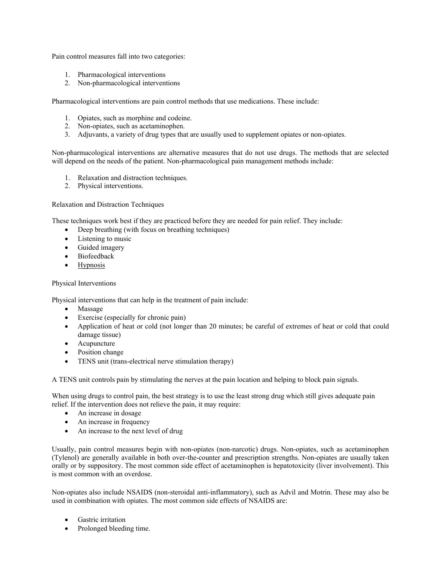Pain control measures fall into two categories:

- 1. Pharmacological interventions
- 2. Non-pharmacological interventions

Pharmacological interventions are pain control methods that use medications. These include:

- 1. Opiates, such as morphine and codeine.
- 2. Non-opiates, such as acetaminophen.
- 3. Adjuvants, a variety of drug types that are usually used to supplement opiates or non-opiates.

Non-pharmacological interventions are alternative measures that do not use drugs. The methods that are selected will depend on the needs of the patient. Non-pharmacological pain management methods include:

- 1. Relaxation and distraction techniques.
- 2. Physical interventions.

Relaxation and Distraction Techniques

These techniques work best if they are practiced before they are needed for pain relief. They include:

- Deep breathing (with focus on breathing techniques)
- Listening to music
- Guided imagery
- Biofeedback
- Hypnosis

#### Physical Interventions

Physical interventions that can help in the treatment of pain include:

- Massage
- Exercise (especially for chronic pain)
- Application of heat or cold (not longer than 20 minutes; be careful of extremes of heat or cold that could damage tissue)
- Acupuncture
- Position change
- TENS unit (trans-electrical nerve stimulation therapy)

A TENS unit controls pain by stimulating the nerves at the pain location and helping to block pain signals.

When using drugs to control pain, the best strategy is to use the least strong drug which still gives adequate pain relief. If the intervention does not relieve the pain, it may require:

- An increase in dosage
- An increase in frequency
- An increase to the next level of drug

Usually, pain control measures begin with non-opiates (non-narcotic) drugs. Non-opiates, such as acetaminophen (Tylenol) are generally available in both over-the-counter and prescription strengths. Non-opiates are usually taken orally or by suppository. The most common side effect of acetaminophen is hepatotoxicity (liver involvement). This is most common with an overdose.

Non-opiates also include NSAIDS (non-steroidal anti-inflammatory), such as Advil and Motrin. These may also be used in combination with opiates. The most common side effects of NSAIDS are:

- Gastric irritation
- Prolonged bleeding time.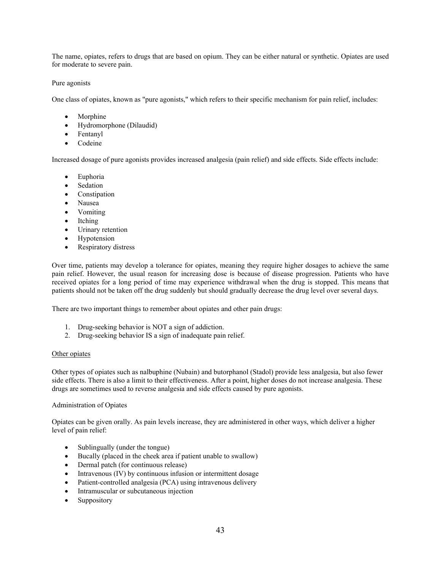The name, opiates, refers to drugs that are based on opium. They can be either natural or synthetic. Opiates are used for moderate to severe pain.

# Pure agonists

One class of opiates, known as "pure agonists," which refers to their specific mechanism for pain relief, includes:

- Morphine
- Hydromorphone (Dilaudid)
- Fentanyl
- Codeine

Increased dosage of pure agonists provides increased analgesia (pain relief) and side effects. Side effects include:

- Euphoria
- Sedation
- Constipation
- Nausea
- Vomiting
- Itching
- Urinary retention
- Hypotension
- Respiratory distress

Over time, patients may develop a tolerance for opiates, meaning they require higher dosages to achieve the same pain relief. However, the usual reason for increasing dose is because of disease progression. Patients who have received opiates for a long period of time may experience withdrawal when the drug is stopped. This means that patients should not be taken off the drug suddenly but should gradually decrease the drug level over several days.

There are two important things to remember about opiates and other pain drugs:

- 1. Drug-seeking behavior is NOT a sign of addiction.
- 2. Drug-seeking behavior IS a sign of inadequate pain relief.

#### Other opiates

Other types of opiates such as nalbuphine (Nubain) and butorphanol (Stadol) provide less analgesia, but also fewer side effects. There is also a limit to their effectiveness. After a point, higher doses do not increase analgesia. These drugs are sometimes used to reverse analgesia and side effects caused by pure agonists.

#### Administration of Opiates

Opiates can be given orally. As pain levels increase, they are administered in other ways, which deliver a higher level of pain relief:

- Sublingually (under the tongue)
- Bucally (placed in the cheek area if patient unable to swallow)
- Dermal patch (for continuous release)
- Intravenous (IV) by continuous infusion or intermittent dosage
- Patient-controlled analgesia (PCA) using intravenous delivery
- Intramuscular or subcutaneous injection
- Suppository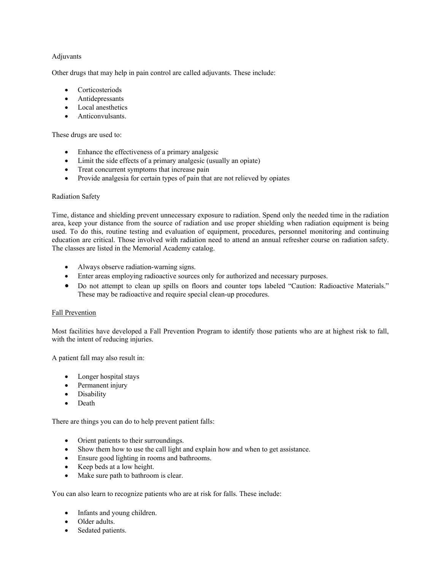### Adjuvants

Other drugs that may help in pain control are called adjuvants. These include:

- Corticosteriods
- Antidepressants
- Local anesthetics
- Anticonvulsants.

These drugs are used to:

- Enhance the effectiveness of a primary analgesic
- Limit the side effects of a primary analgesic (usually an opiate)
- Treat concurrent symptoms that increase pain
- Provide analgesia for certain types of pain that are not relieved by opiates

#### Radiation Safety

Time, distance and shielding prevent unnecessary exposure to radiation. Spend only the needed time in the radiation area, keep your distance from the source of radiation and use proper shielding when radiation equipment is being used. To do this, routine testing and evaluation of equipment, procedures, personnel monitoring and continuing education are critical. Those involved with radiation need to attend an annual refresher course on radiation safety. The classes are listed in the Memorial Academy catalog.

- Always observe radiation-warning signs.
- Enter areas employing radioactive sources only for authorized and necessary purposes.
- Do not attempt to clean up spills on floors and counter tops labeled "Caution: Radioactive Materials." These may be radioactive and require special clean-up procedures.

#### Fall Prevention

Most facilities have developed a Fall Prevention Program to identify those patients who are at highest risk to fall, with the intent of reducing injuries.

A patient fall may also result in:

- Longer hospital stays
- Permanent injury
- Disability
- Death

There are things you can do to help prevent patient falls:

- Orient patients to their surroundings.
- Show them how to use the call light and explain how and when to get assistance.
- Ensure good lighting in rooms and bathrooms.
- Keep beds at a low height.
- Make sure path to bathroom is clear.

You can also learn to recognize patients who are at risk for falls. These include:

- Infants and young children.
- Older adults.
- Sedated patients.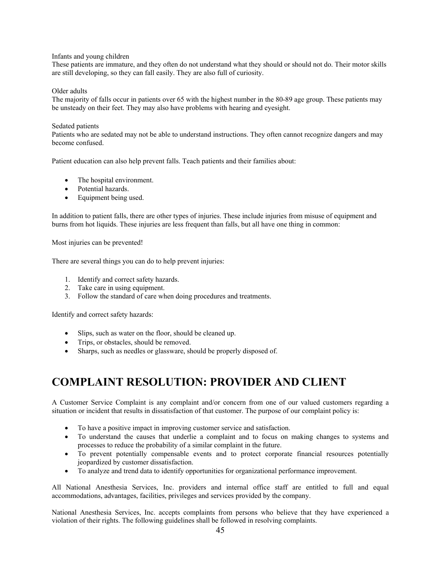#### Infants and young children

These patients are immature, and they often do not understand what they should or should not do. Their motor skills are still developing, so they can fall easily. They are also full of curiosity.

#### Older adults

The majority of falls occur in patients over 65 with the highest number in the 80-89 age group. These patients may be unsteady on their feet. They may also have problems with hearing and eyesight.

#### Sedated patients

Patients who are sedated may not be able to understand instructions. They often cannot recognize dangers and may become confused.

Patient education can also help prevent falls. Teach patients and their families about:

- The hospital environment.
- Potential hazards.
- Equipment being used.

In addition to patient falls, there are other types of injuries. These include injuries from misuse of equipment and burns from hot liquids. These injuries are less frequent than falls, but all have one thing in common:

Most injuries can be prevented!

There are several things you can do to help prevent injuries:

- 1. Identify and correct safety hazards.
- 2. Take care in using equipment.
- 3. Follow the standard of care when doing procedures and treatments.

Identify and correct safety hazards:

- Slips, such as water on the floor, should be cleaned up.
- Trips, or obstacles, should be removed.
- Sharps, such as needles or glassware, should be properly disposed of.

# **COMPLAINT RESOLUTION: PROVIDER AND CLIENT**

A Customer Service Complaint is any complaint and/or concern from one of our valued customers regarding a situation or incident that results in dissatisfaction of that customer. The purpose of our complaint policy is:

- To have a positive impact in improving customer service and satisfaction.
- To understand the causes that underlie a complaint and to focus on making changes to systems and processes to reduce the probability of a similar complaint in the future.
- To prevent potentially compensable events and to protect corporate financial resources potentially jeopardized by customer dissatisfaction.
- To analyze and trend data to identify opportunities for organizational performance improvement.

All National Anesthesia Services, Inc. providers and internal office staff are entitled to full and equal accommodations, advantages, facilities, privileges and services provided by the company.

National Anesthesia Services, Inc. accepts complaints from persons who believe that they have experienced a violation of their rights. The following guidelines shall be followed in resolving complaints.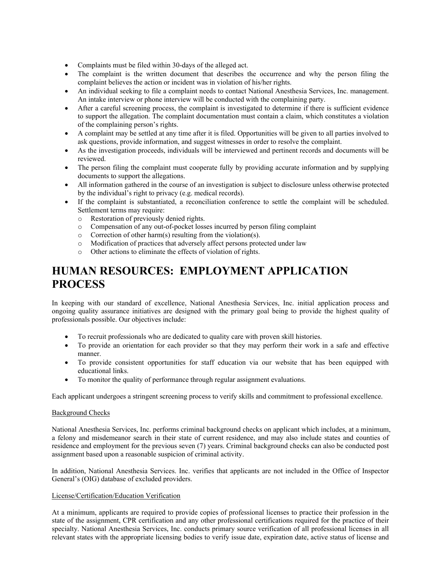- Complaints must be filed within 30-days of the alleged act.
- The complaint is the written document that describes the occurrence and why the person filing the complaint believes the action or incident was in violation of his/her rights.
- An individual seeking to file a complaint needs to contact National Anesthesia Services, Inc. management. An intake interview or phone interview will be conducted with the complaining party.
- After a careful screening process, the complaint is investigated to determine if there is sufficient evidence to support the allegation. The complaint documentation must contain a claim, which constitutes a violation of the complaining person's rights.
- A complaint may be settled at any time after it is filed. Opportunities will be given to all parties involved to ask questions, provide information, and suggest witnesses in order to resolve the complaint.
- As the investigation proceeds, individuals will be interviewed and pertinent records and documents will be reviewed.
- The person filing the complaint must cooperate fully by providing accurate information and by supplying documents to support the allegations.
- All information gathered in the course of an investigation is subject to disclosure unless otherwise protected by the individual's right to privacy (e.g. medical records).
- If the complaint is substantiated, a reconciliation conference to settle the complaint will be scheduled. Settlement terms may require:
	- o Restoration of previously denied rights.
	- o Compensation of any out-of-pocket losses incurred by person filing complaint
	- o Correction of other harm(s) resulting from the violation(s).
	- o Modification of practices that adversely affect persons protected under law
	- o Other actions to eliminate the effects of violation of rights.

# **HUMAN RESOURCES: EMPLOYMENT APPLICATION PROCESS**

In keeping with our standard of excellence, National Anesthesia Services, Inc. initial application process and ongoing quality assurance initiatives are designed with the primary goal being to provide the highest quality of professionals possible. Our objectives include:

- To recruit professionals who are dedicated to quality care with proven skill histories.
- To provide an orientation for each provider so that they may perform their work in a safe and effective manner.
- To provide consistent opportunities for staff education via our website that has been equipped with educational links.
- To monitor the quality of performance through regular assignment evaluations.

Each applicant undergoes a stringent screening process to verify skills and commitment to professional excellence.

# Background Checks

National Anesthesia Services, Inc. performs criminal background checks on applicant which includes, at a minimum, a felony and misdemeanor search in their state of current residence, and may also include states and counties of residence and employment for the previous seven (7) years. Criminal background checks can also be conducted post assignment based upon a reasonable suspicion of criminal activity.

In addition, National Anesthesia Services. Inc. verifies that applicants are not included in the Office of Inspector General's (OIG) database of excluded providers.

# License/Certification/Education Verification

At a minimum, applicants are required to provide copies of professional licenses to practice their profession in the state of the assignment, CPR certification and any other professional certifications required for the practice of their specialty. National Anesthesia Services, Inc. conducts primary source verification of all professional licenses in all relevant states with the appropriate licensing bodies to verify issue date, expiration date, active status of license and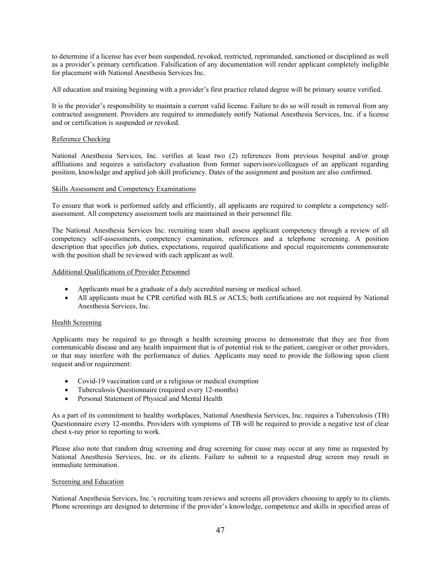to determine if a license has ever been suspended, revoked, restricted, reprimanded, sanctioned or disciplined as well as a provider's primary certification. Falsification of any documentation will render applicant completely ineligible for placement with National Anesthesia Services Inc.

All education and training beginning with a provider's first practice related degree will be primary source verified.

It is the provider's responsibility to maintain a current valid license. Failure to do so will result in removal from any contracted assignment. Providers are required to immediately notify National Anesthesia Services, Inc. if a license and or certification is suspended or revoked.

#### Reference Checking

National Anesthesia Services, Inc. verifies at least two (2) references from previous hospital and/or group affiliations and requires a satisfactory evaluation from former supervisors/colleagues of an applicant regarding position, knowledge and applied job skill proficiency. Dates of the assignment and position are also confirmed.

#### Skills Assessment and Competency Examinations

To ensure that work is performed safely and efficiently, all applicants are required to complete a competency selfassessment. All competency assessment tools are maintained in their personnel file.

The National Anesthesia Services Inc. recruiting team shall assess applicant competency through a review of all competency self-assessments, competency examination, references and a telephone screening. A position description that specifies job duties, expectations, required qualifications and special requirements commensurate with the position shall be reviewed with each applicant as well.

#### Additional Qualifications of Provider Personnel

- Applicants must be a graduate of a duly accredited nursing or medical school.
- All applicants must be CPR certified with BLS or ACLS; both certifications are not required by National Anesthesia Services, Inc.

# Health Screening

Applicants may be required to go through a health screening process to demonstrate that they are free from communicable disease and any health impairment that is of potential risk to the patient, caregiver or other providers, or that may interfere with the performance of duties. Applicants may need to provide the following upon client request and/or requirement:

- Covid-19 vaccination card or a religious or medical exemption
- Tuberculosis Questionnaire (required every 12-months)
- Personal Statement of Physical and Mental Health

As a part of its commitment to healthy workplaces, National Anesthesia Services, Inc. requires a Tuberculosis (TB) Questionnaire every 12-months. Providers with symptoms of TB will be required to provide a negative test of clear chest x-ray prior to reporting to work.

Please also note that random drug screening and drug screening for cause may occur at any time as requested by National Anesthesia Services, Inc. or its clients. Failure to submit to a requested drug screen may result in immediate termination.

#### Screening and Education

National Anesthesia Services, Inc.'s recruiting team reviews and screens all providers choosing to apply to its clients. Phone screenings are designed to determine if the provider's knowledge, competence and skills in specified areas of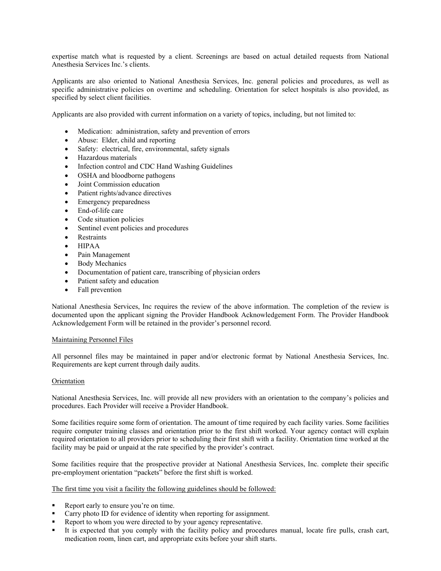expertise match what is requested by a client. Screenings are based on actual detailed requests from National Anesthesia Services Inc.'s clients.

Applicants are also oriented to National Anesthesia Services, Inc. general policies and procedures, as well as specific administrative policies on overtime and scheduling. Orientation for select hospitals is also provided, as specified by select client facilities.

Applicants are also provided with current information on a variety of topics, including, but not limited to:

- Medication: administration, safety and prevention of errors
- Abuse: Elder, child and reporting
- Safety: electrical, fire, environmental, safety signals
- Hazardous materials
- Infection control and CDC Hand Washing Guidelines
- OSHA and bloodborne pathogens
- Joint Commission education
- Patient rights/advance directives
- Emergency preparedness
- End-of-life care
- Code situation policies
- Sentinel event policies and procedures
- Restraints
- $\bullet$  HIPAA
- Pain Management
- Body Mechanics
- Documentation of patient care, transcribing of physician orders
- Patient safety and education
- Fall prevention

National Anesthesia Services, Inc requires the review of the above information. The completion of the review is documented upon the applicant signing the Provider Handbook Acknowledgement Form. The Provider Handbook Acknowledgement Form will be retained in the provider's personnel record.

#### Maintaining Personnel Files

All personnel files may be maintained in paper and/or electronic format by National Anesthesia Services, Inc. Requirements are kept current through daily audits.

#### **Orientation**

National Anesthesia Services, Inc. will provide all new providers with an orientation to the company's policies and procedures. Each Provider will receive a Provider Handbook.

Some facilities require some form of orientation. The amount of time required by each facility varies. Some facilities require computer training classes and orientation prior to the first shift worked. Your agency contact will explain required orientation to all providers prior to scheduling their first shift with a facility. Orientation time worked at the facility may be paid or unpaid at the rate specified by the provider's contract.

Some facilities require that the prospective provider at National Anesthesia Services, Inc. complete their specific pre-employment orientation "packets" before the first shift is worked.

#### The first time you visit a facility the following guidelines should be followed:

- Report early to ensure you're on time.
- Carry photo ID for evidence of identity when reporting for assignment.
- Report to whom you were directed to by your agency representative.
- It is expected that you comply with the facility policy and procedures manual, locate fire pulls, crash cart, medication room, linen cart, and appropriate exits before your shift starts.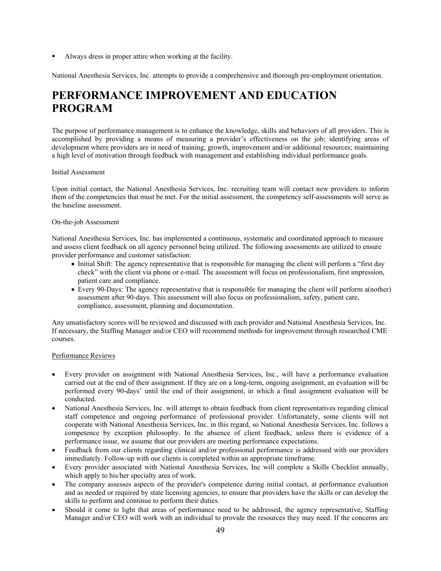Always dress in proper attire when working at the facility.

National Anesthesia Services, Inc. attempts to provide a comprehensive and thorough pre-employment orientation.

# **PERFORMANCE IMPROVEMENT AND EDUCATION PROGRAM**

The purpose of performance management is to enhance the knowledge, skills and behaviors of all providers. This is accomplished by providing a means of measuring a provider's effectiveness on the job; identifying areas of development where providers are in need of training, growth, improvement and/or additional resources; maintaining a high level of motivation through feedback with management and establishing individual performance goals.

#### Initial Assessment

Upon initial contact, the National Anesthesia Services, Inc. recruiting team will contact new providers to inform them of the competencies that must be met. For the initial assessment, the competency self-assessments will serve as the baseline assessment.

#### On-the-job Assessment

National Anesthesia Services, Inc. has implemented a continuous, systematic and coordinated approach to measure and assess client feedback on all agency personnel being utilized. The following assessments are utilized to ensure provider performance and customer satisfaction:

- Initial Shift: The agency representative that is responsible for managing the client will perform a "first day check" with the client via phone or e-mail. The assessment will focus on professionalism, first impression, patient care and compliance.
- Every 90-Days: The agency representative that is responsible for managing the client will perform a(nother) assessment after 90-days. This assessment will also focus on professionalism, safety, patient care, compliance, assessment, planning and documentation.

Any unsatisfactory scores will be reviewed and discussed with each provider and National Anesthesia Services, Inc. If necessary, the Staffing Manager and/or CEO will recommend methods for improvement through researched CME courses.

# Performance Reviews

- Every provider on assignment with National Anesthesia Services, Inc., will have a performance evaluation carried out at the end of their assignment. If they are on a long-term, ongoing assignment, an evaluation will be performed every 90-days' until the end of their assignment, in which a final assignment evaluation will be conducted.
- National Anesthesia Services, Inc. will attempt to obtain feedback from client representatives regarding clinical staff competence and ongoing performance of professional provider. Unfortunately, some clients will not cooperate with National Anesthesia Services, Inc. in this regard, so National Anesthesia Services, Inc. follows a competence by exception philosophy. In the absence of client feedback, unless there is evidence of a performance issue, we assume that our providers are meeting performance expectations.
- Feedback from our clients regarding clinical and/or professional performance is addressed with our providers immediately. Follow-up with our clients is completed within an appropriate timeframe.
- Every provider associated with National Anesthesia Services, Inc will complete a Skills Checklist annually, which apply to his/her specialty area of work.
- The company assesses aspects of the provider's competence during initial contact, at performance evaluation and as needed or required by state licensing agencies, to ensure that providers have the skills or can develop the skills to perform and continue to perform their duties.
- Should it come to light that areas of performance need to be addressed, the agency representative, Staffing Manager and/or CEO will work with an individual to provide the resources they may need. If the concerns are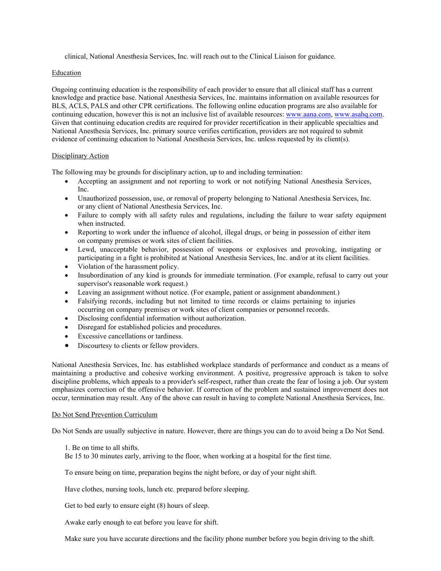clinical, National Anesthesia Services, Inc. will reach out to the Clinical Liaison for guidance.

#### Education

Ongoing continuing education is the responsibility of each provider to ensure that all clinical staff has a current knowledge and practice base. National Anesthesia Services, Inc. maintains information on available resources for BLS, ACLS, PALS and other CPR certifications. The following online education programs are also available for continuing education, however this is not an inclusive list of available resources: www.aana.com, www.asahq.com. Given that continuing education credits are required for provider recertification in their applicable specialties and National Anesthesia Services, Inc. primary source verifies certification, providers are not required to submit evidence of continuing education to National Anesthesia Services, Inc. unless requested by its client(s).

#### Disciplinary Action

The following may be grounds for disciplinary action, up to and including termination:

- Accepting an assignment and not reporting to work or not notifying National Anesthesia Services, Inc.
- Unauthorized possession, use, or removal of property belonging to National Anesthesia Services, Inc. or any client of National Anesthesia Services, Inc.
- Failure to comply with all safety rules and regulations, including the failure to wear safety equipment when instructed.
- Reporting to work under the influence of alcohol, illegal drugs, or being in possession of either item on company premises or work sites of client facilities.
- Lewd, unacceptable behavior, possession of weapons or explosives and provoking, instigating or participating in a fight is prohibited at National Anesthesia Services, Inc. and/or at its client facilities.
- Violation of the harassment policy.
- Insubordination of any kind is grounds for immediate termination. (For example, refusal to carry out your supervisor's reasonable work request.)
- Leaving an assignment without notice. (For example, patient or assignment abandonment.)
- Falsifying records, including but not limited to time records or claims pertaining to injuries occurring on company premises or work sites of client companies or personnel records.
- Disclosing confidential information without authorization.
- Disregard for established policies and procedures.
- Excessive cancellations or tardiness.
- Discourtesy to clients or fellow providers.

National Anesthesia Services, Inc. has established workplace standards of performance and conduct as a means of maintaining a productive and cohesive working environment. A positive, progressive approach is taken to solve discipline problems, which appeals to a provider's self-respect, rather than create the fear of losing a job. Our system emphasizes correction of the offensive behavior. If correction of the problem and sustained improvement does not occur, termination may result. Any of the above can result in having to complete National Anesthesia Services, Inc.

# Do Not Send Prevention Curriculum

Do Not Sends are usually subjective in nature. However, there are things you can do to avoid being a Do Not Send.

1. Be on time to all shifts.

Be 15 to 30 minutes early, arriving to the floor, when working at a hospital for the first time.

To ensure being on time, preparation begins the night before, or day of your night shift.

Have clothes, nursing tools, lunch etc. prepared before sleeping.

Get to bed early to ensure eight (8) hours of sleep.

Awake early enough to eat before you leave for shift.

Make sure you have accurate directions and the facility phone number before you begin driving to the shift.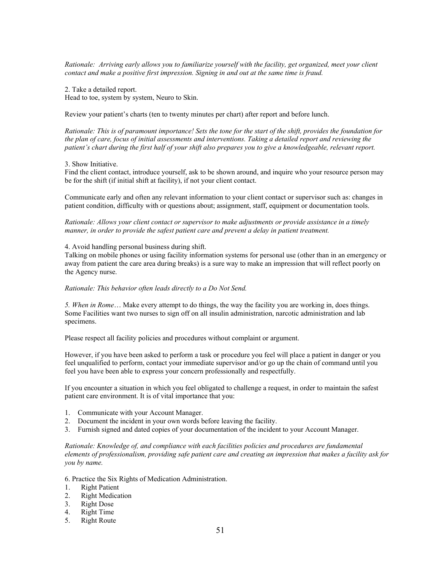*Rationale: Arriving early allows you to familiarize yourself with the facility, get organized, meet your client contact and make a positive first impression. Signing in and out at the same time is fraud.* 

2. Take a detailed report. Head to toe, system by system, Neuro to Skin.

Review your patient's charts (ten to twenty minutes per chart) after report and before lunch.

*Rationale: This is of paramount importance! Sets the tone for the start of the shift, provides the foundation for the plan of care, focus of initial assessments and interventions. Taking a detailed report and reviewing the patient's chart during the first half of your shift also prepares you to give a knowledgeable, relevant report.* 

#### 3. Show Initiative.

Find the client contact, introduce yourself, ask to be shown around, and inquire who your resource person may be for the shift (if initial shift at facility), if not your client contact.

Communicate early and often any relevant information to your client contact or supervisor such as: changes in patient condition, difficulty with or questions about; assignment, staff, equipment or documentation tools.

*Rationale: Allows your client contact or supervisor to make adjustments or provide assistance in a timely manner, in order to provide the safest patient care and prevent a delay in patient treatment.* 

#### 4. Avoid handling personal business during shift.

Talking on mobile phones or using facility information systems for personal use (other than in an emergency or away from patient the care area during breaks) is a sure way to make an impression that will reflect poorly on the Agency nurse.

#### *Rationale: This behavior often leads directly to a Do Not Send.*

*5. When in Rome*… Make every attempt to do things, the way the facility you are working in, does things. Some Facilities want two nurses to sign off on all insulin administration, narcotic administration and lab specimens.

Please respect all facility policies and procedures without complaint or argument.

However, if you have been asked to perform a task or procedure you feel will place a patient in danger or you feel unqualified to perform, contact your immediate supervisor and/or go up the chain of command until you feel you have been able to express your concern professionally and respectfully.

If you encounter a situation in which you feel obligated to challenge a request, in order to maintain the safest patient care environment. It is of vital importance that you:

- 1. Communicate with your Account Manager.
- 2. Document the incident in your own words before leaving the facility.
- 3. Furnish signed and dated copies of your documentation of the incident to your Account Manager.

*Rationale: Knowledge of, and compliance with each facilities policies and procedures are fundamental elements of professionalism, providing safe patient care and creating an impression that makes a facility ask for you by name.* 

6. Practice the Six Rights of Medication Administration.

- 1. Right Patient
- 2. Right Medication
- 3. Right Dose
- 4. Right Time
- 5. Right Route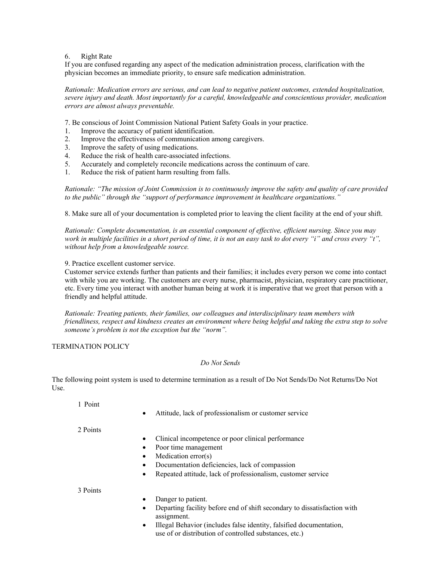#### 6. Right Rate

If you are confused regarding any aspect of the medication administration process, clarification with the physician becomes an immediate priority, to ensure safe medication administration.

*Rationale: Medication errors are serious, and can lead to negative patient outcomes, extended hospitalization, severe injury and death. Most importantly for a careful, knowledgeable and conscientious provider, medication errors are almost always preventable.*

7. Be conscious of Joint Commission National Patient Safety Goals in your practice.

- 1. Improve the accuracy of patient identification.
- 2. Improve the effectiveness of communication among caregivers.
- 3. Improve the safety of using medications.
- 4. Reduce the risk of health care-associated infections.
- 5. Accurately and completely reconcile medications across the continuum of care.
- 1. Reduce the risk of patient harm resulting from falls.

*Rationale: "The mission of Joint Commission is to continuously improve the safety and quality of care provided to the public" through the "support of performance improvement in healthcare organizations."* 

8. Make sure all of your documentation is completed prior to leaving the client facility at the end of your shift.

*Rationale: Complete documentation, is an essential component of effective, efficient nursing. Since you may work in multiple facilities in a short period of time, it is not an easy task to dot every "i" and cross every "t", without help from a knowledgeable source.* 

9. Practice excellent customer service.

Customer service extends further than patients and their families; it includes every person we come into contact with while you are working. The customers are every nurse, pharmacist, physician, respiratory care practitioner, etc. Every time you interact with another human being at work it is imperative that we greet that person with a friendly and helpful attitude.

*Rationale: Treating patients, their families, our colleagues and interdisciplinary team members with friendliness, respect and kindness creates an environment where being helpful and taking the extra step to solve someone's problem is not the exception but the "norm".* 

TERMINATION POLICY

# *Do Not Sends*

The following point system is used to determine termination as a result of Do Not Sends/Do Not Returns/Do Not Use.

1 Point

Attitude, lack of professionalism or customer service

2 Points

- Clinical incompetence or poor clinical performance
- Poor time management
- Medication error(s)
- Documentation deficiencies, lack of compassion
- Repeated attitude, lack of professionalism, customer service

3 Points

- Danger to patient.
- Departing facility before end of shift secondary to dissatisfaction with assignment.
- Illegal Behavior (includes false identity, falsified documentation, use of or distribution of controlled substances, etc.)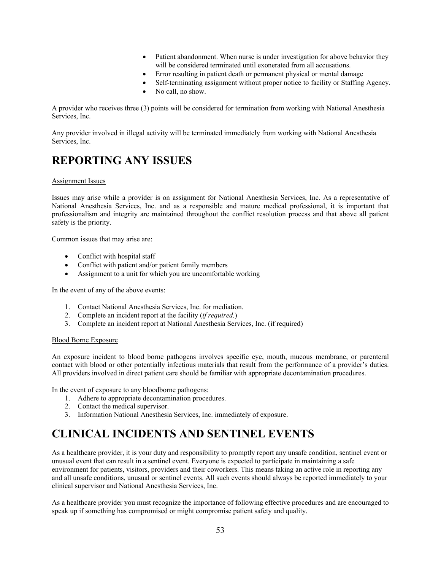- Patient abandonment. When nurse is under investigation for above behavior they will be considered terminated until exonerated from all accusations.
- Error resulting in patient death or permanent physical or mental damage
- Self-terminating assignment without proper notice to facility or Staffing Agency.
- No call, no show.

A provider who receives three (3) points will be considered for termination from working with National Anesthesia Services, Inc.

Any provider involved in illegal activity will be terminated immediately from working with National Anesthesia Services, Inc.

# **REPORTING ANY ISSUES**

#### Assignment Issues

Issues may arise while a provider is on assignment for National Anesthesia Services, Inc. As a representative of National Anesthesia Services, Inc. and as a responsible and mature medical professional, it is important that professionalism and integrity are maintained throughout the conflict resolution process and that above all patient safety is the priority.

Common issues that may arise are:

- Conflict with hospital staff
- Conflict with patient and/or patient family members
- Assignment to a unit for which you are uncomfortable working

In the event of any of the above events:

- 1. Contact National Anesthesia Services, Inc. for mediation.
- 2. Complete an incident report at the facility (*if required.*)
- 3. Complete an incident report at National Anesthesia Services, Inc. (if required)

#### Blood Borne Exposure

An exposure incident to blood borne pathogens involves specific eye, mouth, mucous membrane, or parenteral contact with blood or other potentially infectious materials that result from the performance of a provider's duties. All providers involved in direct patient care should be familiar with appropriate decontamination procedures.

In the event of exposure to any bloodborne pathogens:

- 1. Adhere to appropriate decontamination procedures.
- 2. Contact the medical supervisor.
- 3. Information National Anesthesia Services, Inc. immediately of exposure.

# **CLINICAL INCIDENTS AND SENTINEL EVENTS**

As a healthcare provider, it is your duty and responsibility to promptly report any unsafe condition, sentinel event or unusual event that can result in a sentinel event. Everyone is expected to participate in maintaining a safe environment for patients, visitors, providers and their coworkers. This means taking an active role in reporting any and all unsafe conditions, unusual or sentinel events. All such events should always be reported immediately to your clinical supervisor and National Anesthesia Services, Inc.

As a healthcare provider you must recognize the importance of following effective procedures and are encouraged to speak up if something has compromised or might compromise patient safety and quality.